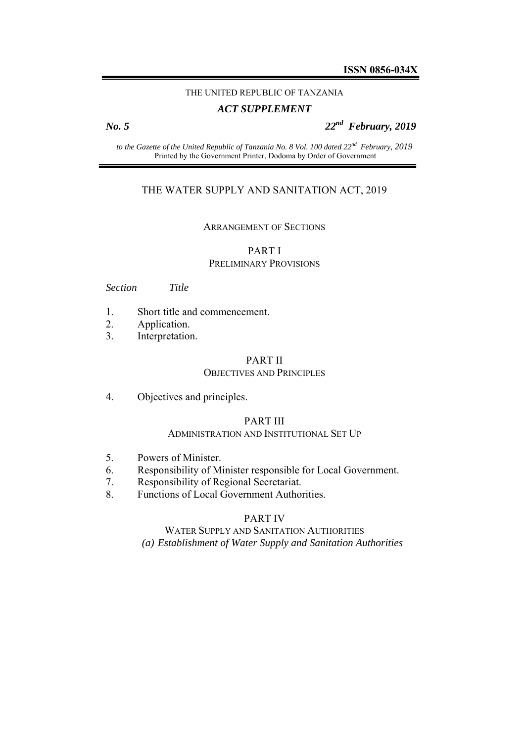## THE UNITED REPUBLIC OF TANZANIA

## *ACT SUPPLEMENT*

*No. 5 22nd February, 2019* 

*to the Gazette of the United Republic of Tanzania No. 8 Vol. 100 dated 22nd February, 2019*  Printed by the Government Printer, Dodoma by Order of Government

## THE WATER SUPPLY AND SANITATION ACT, 2019

#### ARRANGEMENT OF SECTIONS

## PART I

#### PRELIMINARY PROVISIONS

*Section Title* 

- 1. Short title and commencement.
- 2. Application.
- 3. Interpretation.

#### PART II OBJECTIVES AND PRINCIPLES

4. Objectives and principles.

## PART III

#### ADMINISTRATION AND INSTITUTIONAL SET UP

- 5. Powers of Minister.
- 6. Responsibility of Minister responsible for Local Government.
- 7. Responsibility of Regional Secretariat.
- 8. Functions of Local Government Authorities.

## PART IV

# WATER SUPPLY AND SANITATION AUTHORITIES

*(a) Establishment of Water Supply and Sanitation Authorities*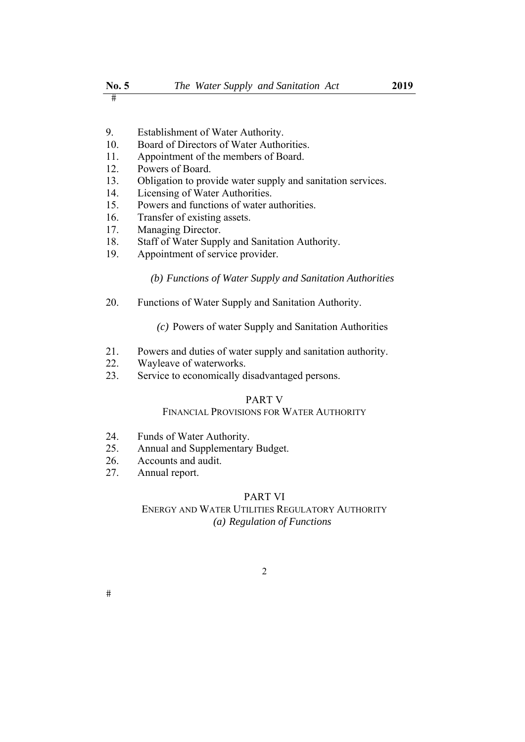- $\overline{\mathbf{H}}$
- 9. Establishment of Water Authority.
- 10. Board of Directors of Water Authorities.
- 11. Appointment of the members of Board.
- 12. Powers of Board.
- 13. Obligation to provide water supply and sanitation services.
- 14. Licensing of Water Authorities.
- 15. Powers and functions of water authorities.
- 16. Transfer of existing assets.
- 17. Managing Director.
- 18. Staff of Water Supply and Sanitation Authority.
- 19. Appointment of service provider.

*(b) Functions of Water Supply and Sanitation Authorities*

- 20. Functions of Water Supply and Sanitation Authority.
	- *(c)* Powers of water Supply and Sanitation Authorities
- 21. Powers and duties of water supply and sanitation authority.
- 22. Wayleave of waterworks.
- 23. Service to economically disadvantaged persons.

#### PART V

## FINANCIAL PROVISIONS FOR WATER AUTHORITY

- 24. Funds of Water Authority.
- 25. Annual and Supplementary Budget.
- 26. Accounts and audit.
- 27. Annual report.

## PART VI

## ENERGY AND WATER UTILITIES REGULATORY AUTHORITY *(a) Regulation of Functions*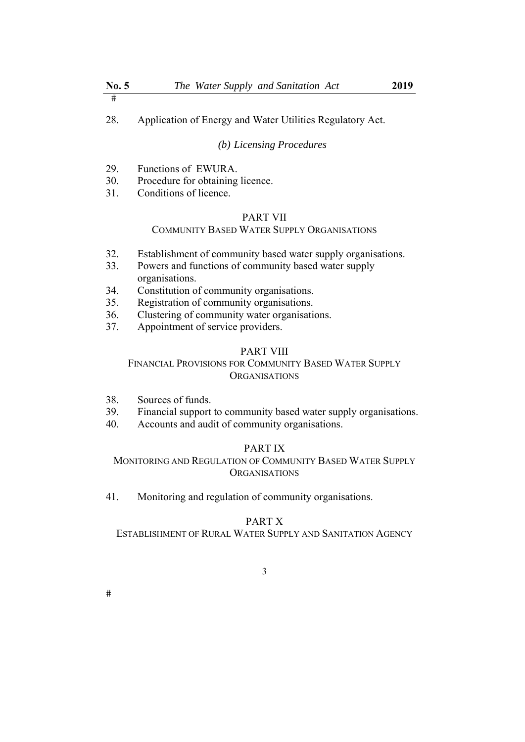28. Application of Energy and Water Utilities Regulatory Act.

#### *(b) Licensing Procedures*

- 29. Functions of EWURA.
- 30. Procedure for obtaining licence.
- 31. Conditions of licence.

## PART VII

## COMMUNITY BASED WATER SUPPLY ORGANISATIONS

- 32. Establishment of community based water supply organisations.
- 33. Powers and functions of community based water supply organisations.
- 34. Constitution of community organisations.
- 35. Registration of community organisations.
- 36. Clustering of community water organisations.
- 37. Appointment of service providers.

## PART VIII

## FINANCIAL PROVISIONS FOR COMMUNITY BASED WATER SUPPLY **ORGANISATIONS**

- 38. Sources of funds.
- 39. Financial support to community based water supply organisations.
- 40. Accounts and audit of community organisations.

## PART IX

MONITORING AND REGULATION OF COMMUNITY BASED WATER SUPPLY **ORGANISATIONS** 

41. Monitoring and regulation of community organisations.

## PART X

ESTABLISHMENT OF RURAL WATER SUPPLY AND SANITATION AGENCY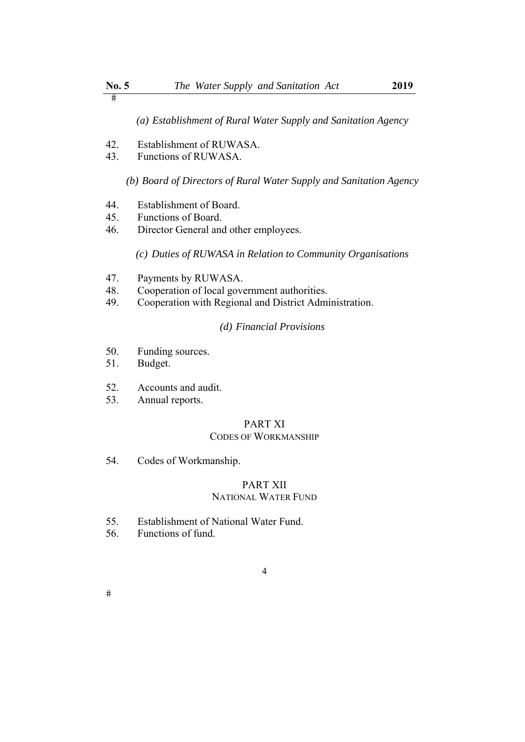$\overline{\mathbf{H}}$ 

*(a) Establishment of Rural Water Supply and Sanitation Agency*

- 42. Establishment of RUWASA.
- 43. Functions of RUWASA.

*(b) Board of Directors of Rural Water Supply and Sanitation Agency*

- 44. Establishment of Board.
- 45. Functions of Board.
- 46. Director General and other employees.

*(c) Duties of RUWASA in Relation to Community Organisations*

- 47. Payments by RUWASA.
- 48. Cooperation of local government authorities.
- 49. Cooperation with Regional and District Administration.

## *(d) Financial Provisions*

- 50. Funding sources.
- 51. Budget.
- 52. Accounts and audit.
- 53. Annual reports.

## PART XI

## CODES OF WORKMANSHIP

54. Codes of Workmanship.

## PART XII NATIONAL WATER FUND

- 55. Establishment of National Water Fund.
- 56. Functions of fund.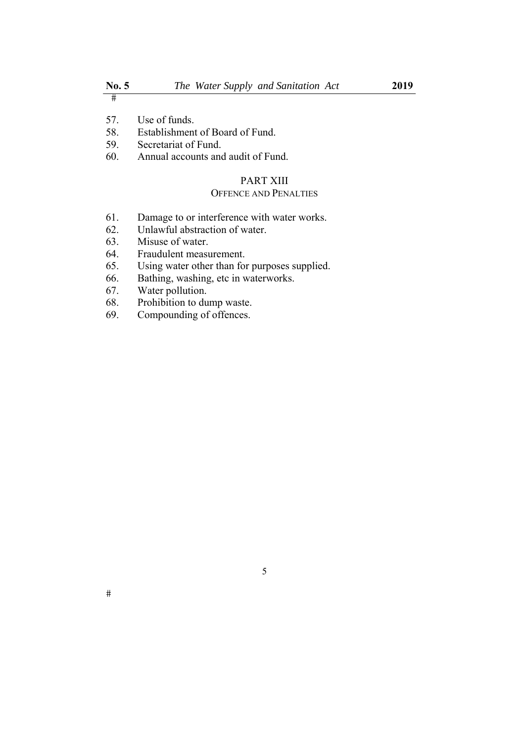57. Use of funds.

58. Establishment of Board of Fund.

- 59. Secretariat of Fund.
- 60. Annual accounts and audit of Fund.

## PART XIII

## OFFENCE AND PENALTIES

- 61. Damage to or interference with water works.
- 62. Unlawful abstraction of water.
- 63. Misuse of water.
- 64. Fraudulent measurement.
- 65. Using water other than for purposes supplied.
- 66. Bathing, washing, etc in waterworks.
- 67. Water pollution.
- 68. Prohibition to dump waste.
- 69. Compounding of offences.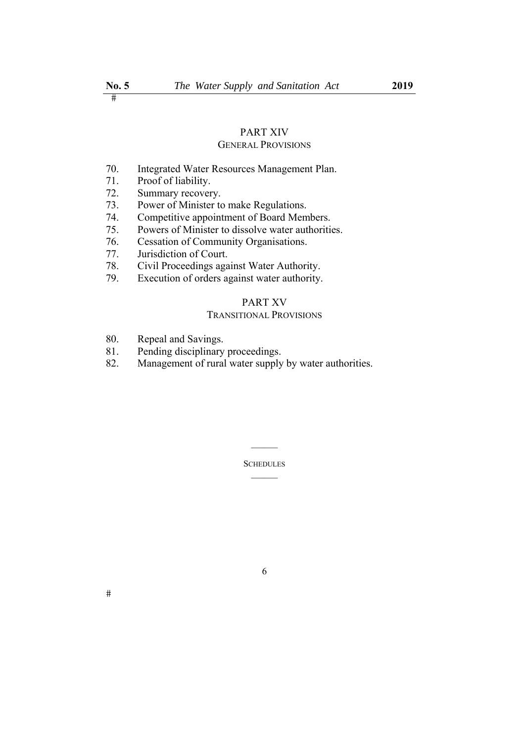# PART XIV

## GENERAL PROVISIONS

- 70. Integrated Water Resources Management Plan.
- 71. Proof of liability.
- 72. Summary recovery.
- 73. Power of Minister to make Regulations.<br>74. Competitive appointment of Board Mem
- Competitive appointment of Board Members.
- 75. Powers of Minister to dissolve water authorities.
- 76. Cessation of Community Organisations.
- 77. Jurisdiction of Court.
- 78. Civil Proceedings against Water Authority.<br>79. Execution of orders against water authority.
- Execution of orders against water authority.

## PART XV

## TRANSITIONAL PROVISIONS

- 80. Repeal and Savings.
- 81. Pending disciplinary proceedings.
- 82. Management of rural water supply by water authorities.

**SCHEDULES**  $\mathcal{L}=\mathcal{L}$ 

 $\mathcal{L}=\mathcal{L}$ 

6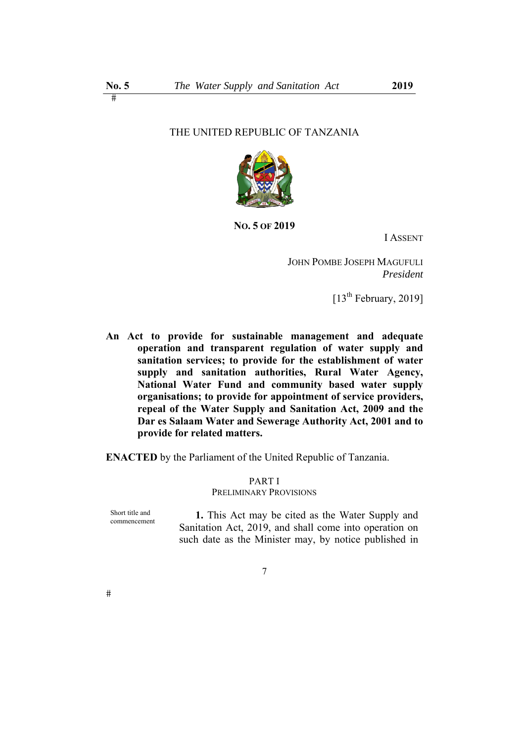## THE UNITED REPUBLIC OF TANZANIA



**NO. 5 OF 2019** 

I ASSENT

JOHN POMBE JOSEPH MAGUFULI *President* 

[13th February, 2019]

**An Act to provide for sustainable management and adequate operation and transparent regulation of water supply and sanitation services; to provide for the establishment of water supply and sanitation authorities, Rural Water Agency, National Water Fund and community based water supply organisations; to provide for appointment of service providers, repeal of the Water Supply and Sanitation Act, 2009 and the Dar es Salaam Water and Sewerage Authority Act, 2001 and to provide for related matters.** 

**ENACTED** by the Parliament of the United Republic of Tanzania.

## PART I PRELIMINARY PROVISIONS

Short title and commencement

**1.** This Act may be cited as the Water Supply and Sanitation Act, 2019, and shall come into operation on such date as the Minister may, by notice published in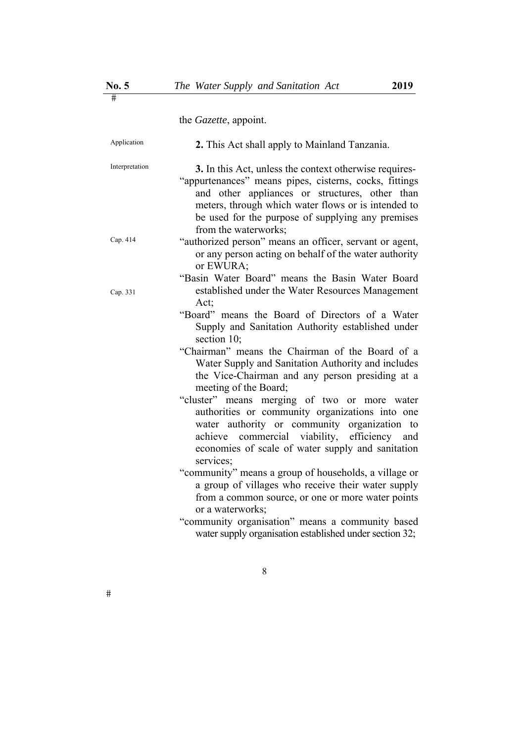the *Gazette*, appoint.

| Application    | 2. This Act shall apply to Mainland Tanzania.                                                                                                                                                                                                                                                          |
|----------------|--------------------------------------------------------------------------------------------------------------------------------------------------------------------------------------------------------------------------------------------------------------------------------------------------------|
| Interpretation | 3. In this Act, unless the context otherwise requires-<br>"appurtenances" means pipes, cisterns, cocks, fittings<br>and other appliances or structures, other than<br>meters, through which water flows or is intended to<br>be used for the purpose of supplying any premises<br>from the waterworks; |
| Cap. 414       | "authorized person" means an officer, servant or agent,<br>or any person acting on behalf of the water authority<br>or EWURA;                                                                                                                                                                          |
| Cap. 331       | "Basin Water Board" means the Basin Water Board<br>established under the Water Resources Management<br>Act;                                                                                                                                                                                            |
|                | "Board" means the Board of Directors of a Water<br>Supply and Sanitation Authority established under<br>section 10:                                                                                                                                                                                    |
|                | "Chairman" means the Chairman of the Board of a<br>Water Supply and Sanitation Authority and includes<br>the Vice-Chairman and any person presiding at a<br>meeting of the Board;                                                                                                                      |
|                | "cluster" means merging of two or more water<br>authorities or community organizations into one<br>water authority or community organization to<br>achieve commercial viability, efficiency and<br>economies of scale of water supply and sanitation<br>services;                                      |
|                | "community" means a group of households, a village or<br>a group of villages who receive their water supply<br>from a common source, or one or more water points<br>or a waterworks;                                                                                                                   |
|                | "community organisation" means a community based<br>water supply organisation established under section 32;                                                                                                                                                                                            |

8

 $\#$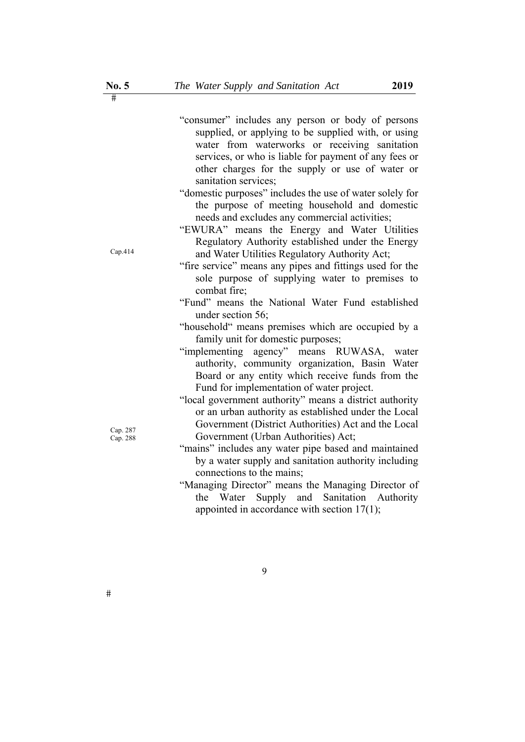|                      | "consumer" includes any person or body of persons<br>supplied, or applying to be supplied with, or using<br>water from waterworks or receiving sanitation<br>services, or who is liable for payment of any fees or<br>other charges for the supply or use of water or<br>sanitation services; |
|----------------------|-----------------------------------------------------------------------------------------------------------------------------------------------------------------------------------------------------------------------------------------------------------------------------------------------|
|                      | "domestic purposes" includes the use of water solely for                                                                                                                                                                                                                                      |
|                      | the purpose of meeting household and domestic                                                                                                                                                                                                                                                 |
|                      | needs and excludes any commercial activities;                                                                                                                                                                                                                                                 |
| Cap.414              | "EWURA" means the Energy and Water Utilities                                                                                                                                                                                                                                                  |
|                      | Regulatory Authority established under the Energy<br>and Water Utilities Regulatory Authority Act;                                                                                                                                                                                            |
|                      | "fire service" means any pipes and fittings used for the                                                                                                                                                                                                                                      |
|                      | sole purpose of supplying water to premises to                                                                                                                                                                                                                                                |
|                      | combat fire;                                                                                                                                                                                                                                                                                  |
|                      | "Fund" means the National Water Fund established                                                                                                                                                                                                                                              |
|                      | under section 56;                                                                                                                                                                                                                                                                             |
|                      | "household" means premises which are occupied by a                                                                                                                                                                                                                                            |
|                      | family unit for domestic purposes;                                                                                                                                                                                                                                                            |
|                      | "implementing agency" means RUWASA, water                                                                                                                                                                                                                                                     |
|                      | authority, community organization, Basin Water                                                                                                                                                                                                                                                |
|                      | Board or any entity which receive funds from the                                                                                                                                                                                                                                              |
| Cap. 287<br>Cap. 288 | Fund for implementation of water project.                                                                                                                                                                                                                                                     |
|                      | "local government authority" means a district authority                                                                                                                                                                                                                                       |
|                      | or an urban authority as established under the Local                                                                                                                                                                                                                                          |
|                      | Government (District Authorities) Act and the Local                                                                                                                                                                                                                                           |
|                      | Government (Urban Authorities) Act;                                                                                                                                                                                                                                                           |
|                      | "mains" includes any water pipe based and maintained                                                                                                                                                                                                                                          |
|                      | by a water supply and sanitation authority including                                                                                                                                                                                                                                          |
|                      | connections to the mains;                                                                                                                                                                                                                                                                     |
|                      | "Managing Director" means the Managing Director of                                                                                                                                                                                                                                            |
|                      | the Water Supply and Sanitation Authority                                                                                                                                                                                                                                                     |

appointed in accordance with section 17(1);

9

 $\#$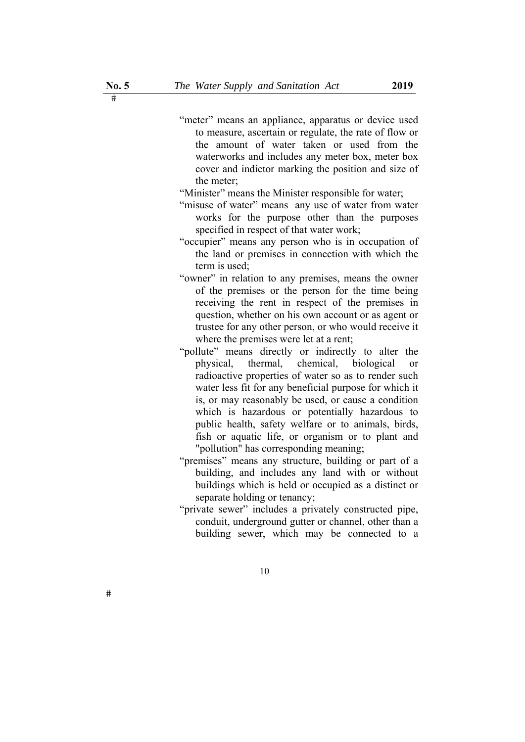"meter" means an appliance, apparatus or device used to measure, ascertain or regulate, the rate of flow or the amount of water taken or used from the waterworks and includes any meter box, meter box cover and indictor marking the position and size of the meter;

"Minister" means the Minister responsible for water;

- "misuse of water" means any use of water from water works for the purpose other than the purposes specified in respect of that water work;
- "occupier" means any person who is in occupation of the land or premises in connection with which the term is used;
- "owner" in relation to any premises, means the owner of the premises or the person for the time being receiving the rent in respect of the premises in question, whether on his own account or as agent or trustee for any other person, or who would receive it where the premises were let at a rent;
- "pollute" means directly or indirectly to alter the physical, thermal, chemical, biological or radioactive properties of water so as to render such water less fit for any beneficial purpose for which it is, or may reasonably be used, or cause a condition which is hazardous or potentially hazardous to public health, safety welfare or to animals, birds, fish or aquatic life, or organism or to plant and "pollution" has corresponding meaning;
- "premises" means any structure, building or part of a building, and includes any land with or without buildings which is held or occupied as a distinct or separate holding or tenancy;
- "private sewer" includes a privately constructed pipe, conduit, underground gutter or channel, other than a building sewer, which may be connected to a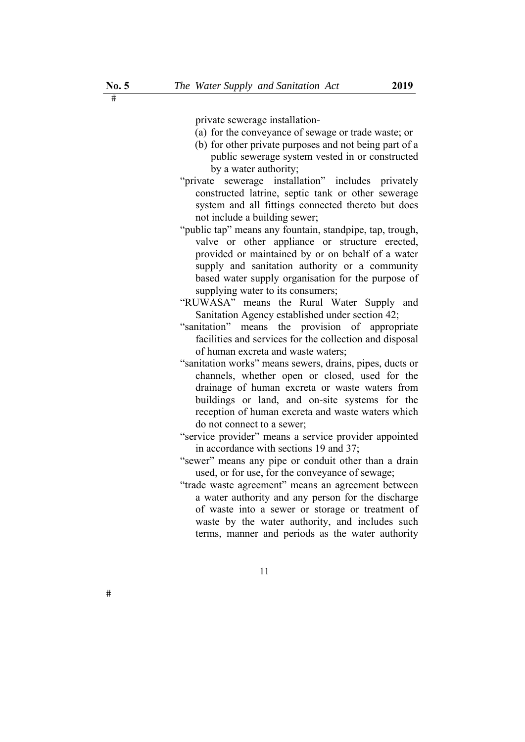private sewerage installation-

- (a) for the conveyance of sewage or trade waste; or
- (b) for other private purposes and not being part of a public sewerage system vested in or constructed by a water authority;
- "private sewerage installation" includes privately constructed latrine, septic tank or other sewerage system and all fittings connected thereto but does not include a building sewer;
- "public tap" means any fountain, standpipe, tap, trough, valve or other appliance or structure erected, provided or maintained by or on behalf of a water supply and sanitation authority or a community based water supply organisation for the purpose of supplying water to its consumers;
- "RUWASA" means the Rural Water Supply and Sanitation Agency established under section 42;
- "sanitation" means the provision of appropriate facilities and services for the collection and disposal of human excreta and waste waters;
- "sanitation works" means sewers, drains, pipes, ducts or channels, whether open or closed, used for the drainage of human excreta or waste waters from buildings or land, and on-site systems for the reception of human excreta and waste waters which do not connect to a sewer;
- "service provider" means a service provider appointed in accordance with sections 19 and 37;
- "sewer" means any pipe or conduit other than a drain used, or for use, for the conveyance of sewage;
- "trade waste agreement" means an agreement between a water authority and any person for the discharge of waste into a sewer or storage or treatment of waste by the water authority, and includes such terms, manner and periods as the water authority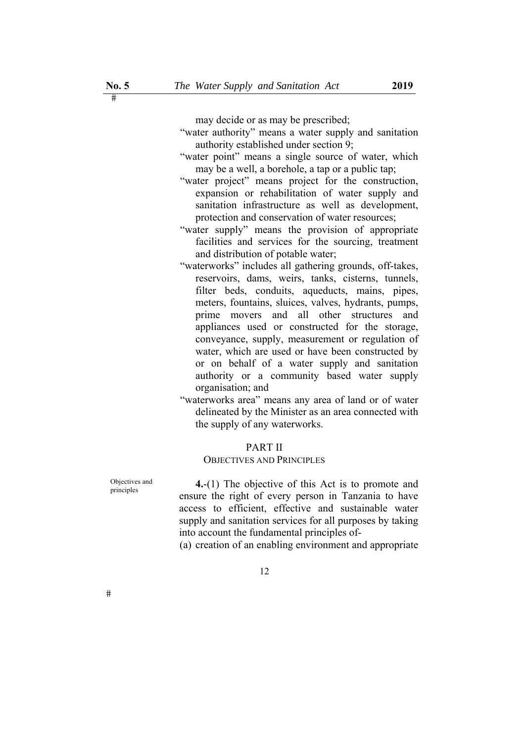may decide or as may be prescribed;

- "water authority" means a water supply and sanitation authority established under section 9;
- "water point" means a single source of water, which may be a well, a borehole, a tap or a public tap;
- "water project" means project for the construction, expansion or rehabilitation of water supply and sanitation infrastructure as well as development, protection and conservation of water resources;
- "water supply" means the provision of appropriate facilities and services for the sourcing, treatment and distribution of potable water;
- "waterworks" includes all gathering grounds, off-takes, reservoirs, dams, weirs, tanks, cisterns, tunnels, filter beds, conduits, aqueducts, mains, pipes, meters, fountains, sluices, valves, hydrants, pumps, prime movers and all other structures and appliances used or constructed for the storage, conveyance, supply, measurement or regulation of water, which are used or have been constructed by or on behalf of a water supply and sanitation authority or a community based water supply organisation; and
- "waterworks area" means any area of land or of water delineated by the Minister as an area connected with the supply of any waterworks.

## PART II

#### OBJECTIVES AND PRINCIPLES

Objectives and

Objectives and **4.**-(1) The objective of this Act is to promote and principles ensure the right of every person in Tanzania to have access to efficient, effective and sustainable water supply and sanitation services for all purposes by taking into account the fundamental principles of-

(a) creation of an enabling environment and appropriate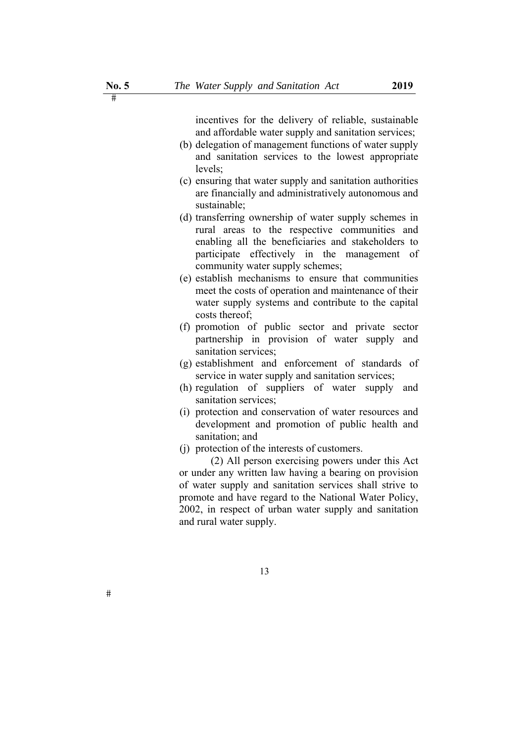incentives for the delivery of reliable, sustainable and affordable water supply and sanitation services;

- (b) delegation of management functions of water supply and sanitation services to the lowest appropriate levels;
- (c) ensuring that water supply and sanitation authorities are financially and administratively autonomous and sustainable;
- (d) transferring ownership of water supply schemes in rural areas to the respective communities and enabling all the beneficiaries and stakeholders to participate effectively in the management of community water supply schemes;
- (e) establish mechanisms to ensure that communities meet the costs of operation and maintenance of their water supply systems and contribute to the capital costs thereof;
- (f) promotion of public sector and private sector partnership in provision of water supply and sanitation services;
- (g) establishment and enforcement of standards of service in water supply and sanitation services;
- (h) regulation of suppliers of water supply and sanitation services;
- (i) protection and conservation of water resources and development and promotion of public health and sanitation; and
- (j) protection of the interests of customers.

 (2) All person exercising powers under this Act or under any written law having a bearing on provision of water supply and sanitation services shall strive to promote and have regard to the National Water Policy, 2002, in respect of urban water supply and sanitation and rural water supply.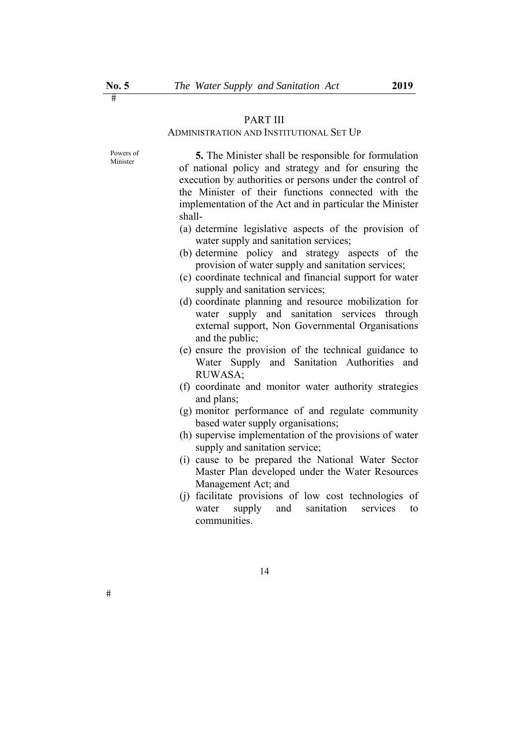## PART III

## ADMINISTRATION AND INSTITUTIONAL SET UP

Powers of<br>Minister

 $#$ 

**5.** The Minister shall be responsible for formulation of national policy and strategy and for ensuring the execution by authorities or persons under the control of the Minister of their functions connected with the implementation of the Act and in particular the Minister shall-

- (a) determine legislative aspects of the provision of water supply and sanitation services;
- (b) determine policy and strategy aspects of the provision of water supply and sanitation services;
- (c) coordinate technical and financial support for water supply and sanitation services;
- (d) coordinate planning and resource mobilization for water supply and sanitation services through external support, Non Governmental Organisations and the public;
- (e) ensure the provision of the technical guidance to Water Supply and Sanitation Authorities and RUWASA;
- (f) coordinate and monitor water authority strategies and plans;
- (g) monitor performance of and regulate community based water supply organisations;
- (h) supervise implementation of the provisions of water supply and sanitation service;
- (i) cause to be prepared the National Water Sector Master Plan developed under the Water Resources Management Act; and
- (j) facilitate provisions of low cost technologies of water supply and sanitation services to communities.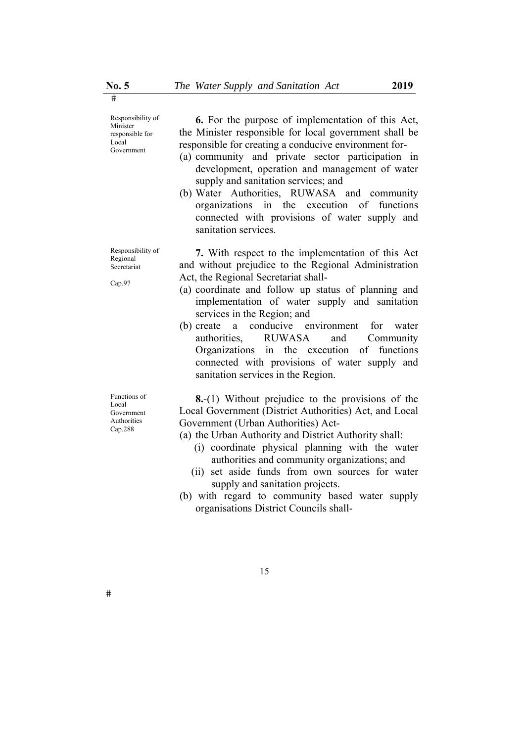Responsibility of Minister responsible for Local Government

Responsibility of Regional Secretariat

Cap.97

Functions of Local Government Authorities Cap.288

**6.** For the purpose of implementation of this Act, the Minister responsible for local government shall be responsible for creating a conducive environment for-

- (a) community and private sector participation in development, operation and management of water supply and sanitation services; and
- (b) Water Authorities, RUWASA and community organizations in the execution of functions connected with provisions of water supply and sanitation services.

**7.** With respect to the implementation of this Act and without prejudice to the Regional Administration Act, the Regional Secretariat shall-

- (a) coordinate and follow up status of planning and implementation of water supply and sanitation services in the Region; and
- (b) create a conducive environment for water authorities, RUWASA and Community Organizations in the execution of functions connected with provisions of water supply and sanitation services in the Region.

**8.**-(1) Without prejudice to the provisions of the Local Government (District Authorities) Act, and Local Government (Urban Authorities) Act-

(a) the Urban Authority and District Authority shall:

- (i) coordinate physical planning with the water authorities and community organizations; and
- (ii) set aside funds from own sources for water supply and sanitation projects.
- (b) with regard to community based water supply organisations District Councils shall-

15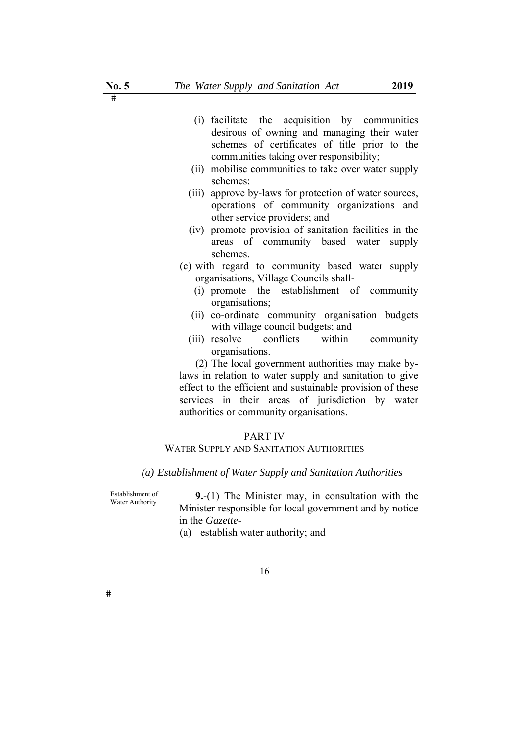- (i) facilitate the acquisition by communities desirous of owning and managing their water schemes of certificates of title prior to the communities taking over responsibility;
- (ii) mobilise communities to take over water supply schemes;
- (iii) approve by-laws for protection of water sources, operations of community organizations and other service providers; and
- (iv) promote provision of sanitation facilities in the areas of community based water supply schemes.
- (c) with regard to community based water supply organisations, Village Councils shall-
	- (i) promote the establishment of community organisations;
	- (ii) co-ordinate community organisation budgets with village council budgets; and
	- (iii) resolve conflicts within community organisations.

(2) The local government authorities may make bylaws in relation to water supply and sanitation to give effect to the efficient and sustainable provision of these services in their areas of jurisdiction by water authorities or community organisations.

## PART IV

#### WATER SUPPLY AND SANITATION AUTHORITIES

#### *(a) Establishment of Water Supply and Sanitation Authorities*

Establishment of

9.-(1) The Minister may, in consultation with the Minister responsible for local government and by notice in the *Gazette-*

(a) establish water authority; and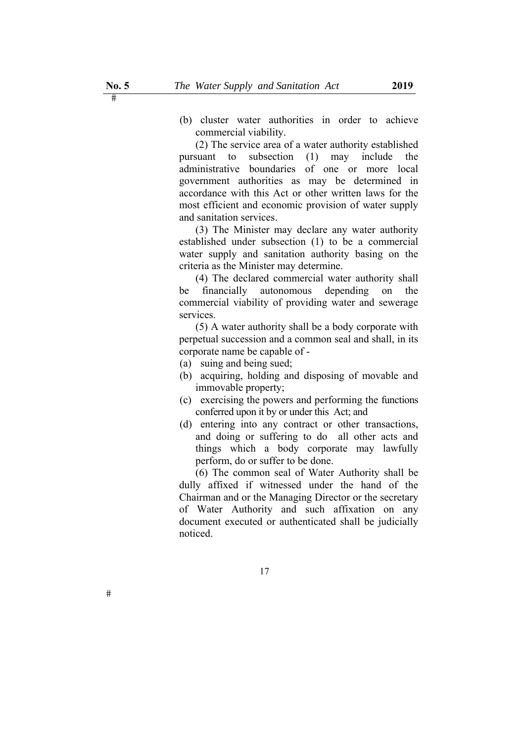(b) cluster water authorities in order to achieve commercial viability.

(2) The service area of a water authority established pursuant to subsection (1) may include the administrative boundaries of one or more local government authorities as may be determined in accordance with this Act or other written laws for the most efficient and economic provision of water supply and sanitation services.

(3) The Minister may declare any water authority established under subsection (1) to be a commercial water supply and sanitation authority basing on the criteria as the Minister may determine.

(4) The declared commercial water authority shall be financially autonomous depending on the commercial viability of providing water and sewerage services.

(5) A water authority shall be a body corporate with perpetual succession and a common seal and shall, in its corporate name be capable of -

- (a) suing and being sued;
- (b) acquiring, holding and disposing of movable and immovable property;
- (c) exercising the powers and performing the functions conferred upon it by or under this Act; and
- (d) entering into any contract or other transactions, and doing or suffering to do all other acts and things which a body corporate may lawfully perform, do or suffer to be done.

(6) The common seal of Water Authority shall be dully affixed if witnessed under the hand of the Chairman and or the Managing Director or the secretary of Water Authority and such affixation on any document executed or authenticated shall be judicially noticed.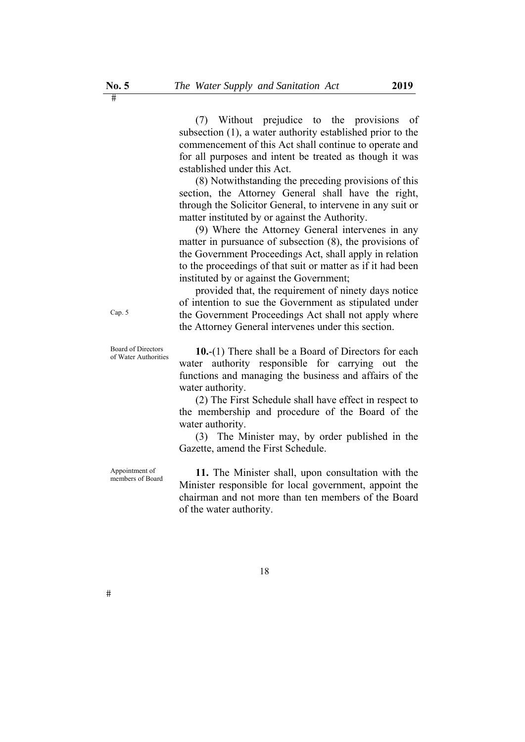(7) Without prejudice to the provisions of subsection (1), a water authority established prior to the commencement of this Act shall continue to operate and for all purposes and intent be treated as though it was established under this Act.

(8) Notwithstanding the preceding provisions of this section, the Attorney General shall have the right, through the Solicitor General, to intervene in any suit or matter instituted by or against the Authority.

(9) Where the Attorney General intervenes in any matter in pursuance of subsection (8), the provisions of the Government Proceedings Act, shall apply in relation to the proceedings of that suit or matter as if it had been instituted by or against the Government;

provided that, the requirement of ninety days notice of intention to sue the Government as stipulated under the Government Proceedings Act shall not apply where the Attorney General intervenes under this section.

Board of Directors **10.-**(1) There shall be a Board of Directors for each of Water Authorities water authority responsible for carrying out the functions and managing the business and affairs of the water authority.

(2) The First Schedule shall have effect in respect to the membership and procedure of the Board of the water authority.

(3) The Minister may, by order published in the Gazette, amend the First Schedule.

Appointment of

Appointment of **11.** The Minister shall, upon consultation with the Minister responsible for local government, appoint the chairman and not more than ten members of the Board of the water authority.

Cap. 5

Board of Directors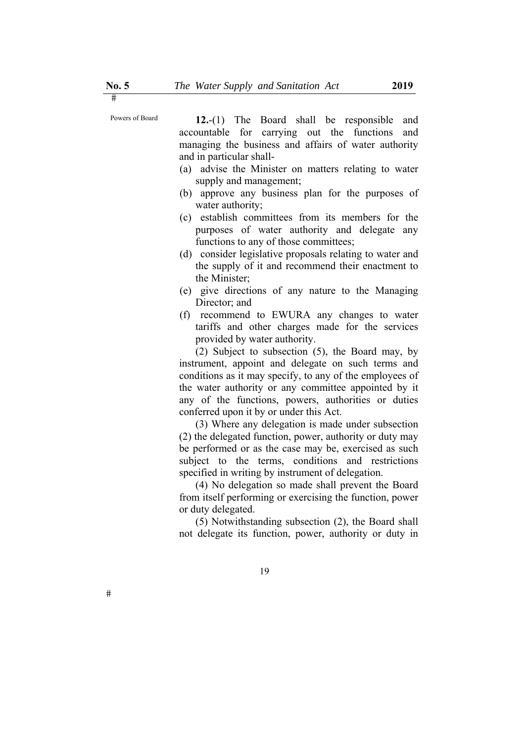Powers of Board **12.**-(1) The Board shall be responsible and accountable for carrying out the functions and managing the business and affairs of water authority and in particular shall-

- (a) advise the Minister on matters relating to water supply and management;
- (b) approve any business plan for the purposes of water authority;
- (c) establish committees from its members for the purposes of water authority and delegate any functions to any of those committees;
- (d) consider legislative proposals relating to water and the supply of it and recommend their enactment to the Minister;
- (e) give directions of any nature to the Managing Director; and
- (f) recommend to EWURA any changes to water tariffs and other charges made for the services provided by water authority.

(2) Subject to subsection (5), the Board may, by instrument, appoint and delegate on such terms and conditions as it may specify, to any of the employees of the water authority or any committee appointed by it any of the functions, powers, authorities or duties conferred upon it by or under this Act.

(3) Where any delegation is made under subsection (2) the delegated function, power, authority or duty may be performed or as the case may be, exercised as such subject to the terms, conditions and restrictions specified in writing by instrument of delegation.

(4) No delegation so made shall prevent the Board from itself performing or exercising the function, power or duty delegated.

(5) Notwithstanding subsection (2), the Board shall not delegate its function, power, authority or duty in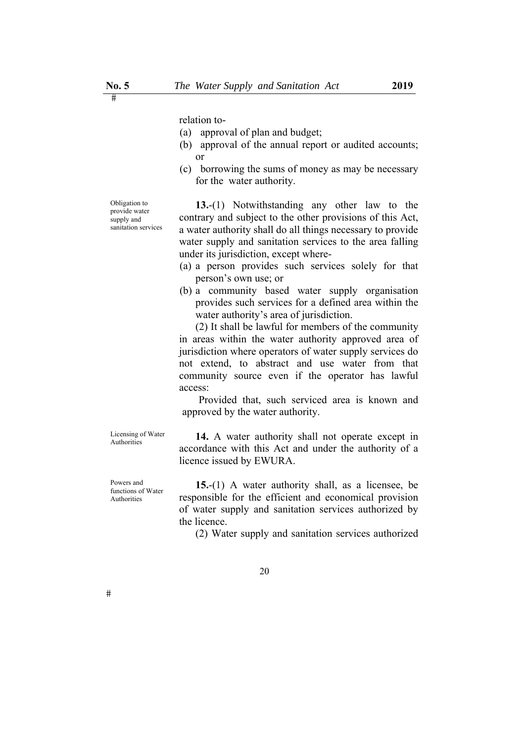relation to-

- (a) approval of plan and budget;
- (b) approval of the annual report or audited accounts; or
- (c) borrowing the sums of money as may be necessary for the water authority.

Obligation to provide water supply and sanitation services

**13.**-(1) Notwithstanding any other law to the contrary and subject to the other provisions of this Act, a water authority shall do all things necessary to provide water supply and sanitation services to the area falling under its jurisdiction, except where-

- (a) a person provides such services solely for that person's own use; or
- (b) a community based water supply organisation provides such services for a defined area within the water authority's area of jurisdiction.

(2) It shall be lawful for members of the community in areas within the water authority approved area of jurisdiction where operators of water supply services do not extend, to abstract and use water from that community source even if the operator has lawful access:

Provided that, such serviced area is known and approved by the water authority.

Licensing of Water

Powers and functions of Water Authorities

Licensing of Water **14.** A water authority shall not operate except in accordance with this Act and under the authority of a licence issued by EWURA.

> **15.**-(1) A water authority shall, as a licensee, be responsible for the efficient and economical provision of water supply and sanitation services authorized by the licence.

(2) Water supply and sanitation services authorized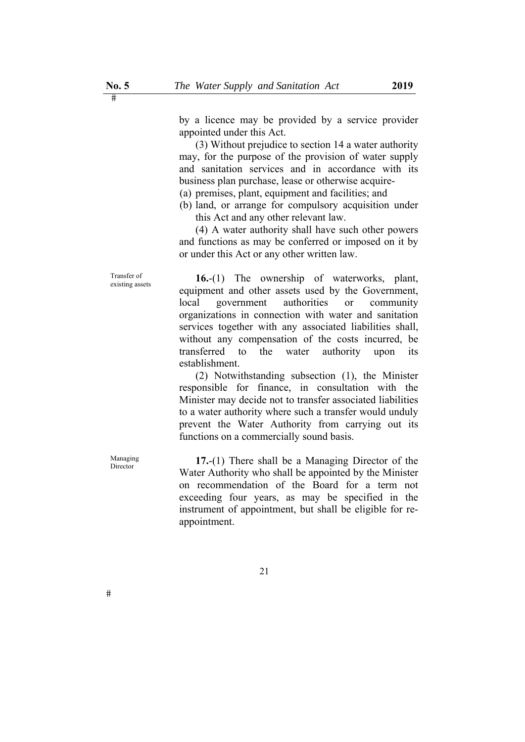by a licence may be provided by a service provider appointed under this Act.

(3) Without prejudice to section 14 a water authority may, for the purpose of the provision of water supply and sanitation services and in accordance with its business plan purchase, lease or otherwise acquire-

(a) premises, plant, equipment and facilities; and

(b) land, or arrange for compulsory acquisition under this Act and any other relevant law.

(4) A water authority shall have such other powers and functions as may be conferred or imposed on it by or under this Act or any other written law.

Transfer of existing assets **16.**-(1) The ownership of waterworks, plant, equipment and other assets used by the Government, local government authorities or community organizations in connection with water and sanitation services together with any associated liabilities shall, without any compensation of the costs incurred, be transferred to the water authority upon its establishment.

> (2) Notwithstanding subsection (1), the Minister responsible for finance, in consultation with the Minister may decide not to transfer associated liabilities to a water authority where such a transfer would unduly prevent the Water Authority from carrying out its functions on a commercially sound basis.

Managing **17.-**(1) There shall be a Managing Director of the Water Authority who shall be appointed by the Minister on recommendation of the Board for a term not exceeding four years, as may be specified in the instrument of appointment, but shall be eligible for reappointment.

Transfer of

Managing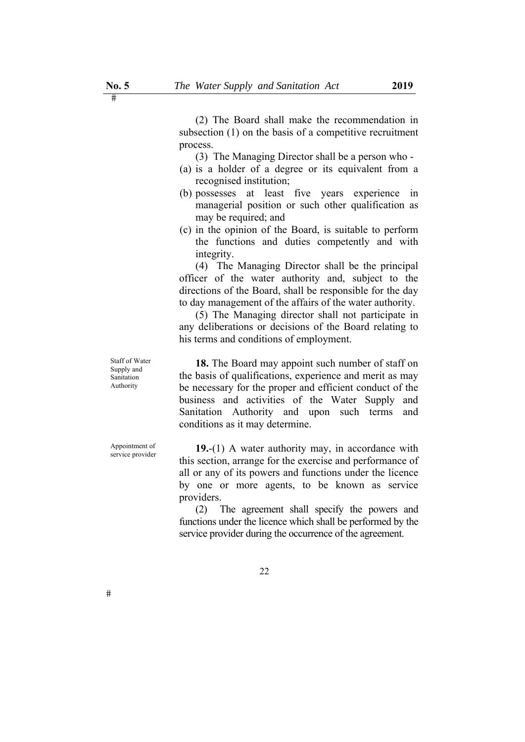(2) The Board shall make the recommendation in subsection (1) on the basis of a competitive recruitment process.

(3) The Managing Director shall be a person who -

- (a) is a holder of a degree or its equivalent from a recognised institution;
- (b) possesses at least five years experience in managerial position or such other qualification as may be required; and
- (c) in the opinion of the Board, is suitable to perform the functions and duties competently and with integrity.

(4) The Managing Director shall be the principal officer of the water authority and, subject to the directions of the Board, shall be responsible for the day to day management of the affairs of the water authority.

(5) The Managing director shall not participate in any deliberations or decisions of the Board relating to his terms and conditions of employment.

Staff of Water Supply and Sanitation Authority

Appointment of

**18.** The Board may appoint such number of staff on the basis of qualifications, experience and merit as may be necessary for the proper and efficient conduct of the business and activities of the Water Supply and Sanitation Authority and upon such terms and conditions as it may determine.

Appointment of **19.**-(1) A water authority may, in accordance with service provider this section, arrange for the exercise and performance of all or any of its powers and functions under the licence by one or more agents, to be known as service providers.

> (2) The agreement shall specify the powers and functions under the licence which shall be performed by the service provider during the occurrence of the agreement.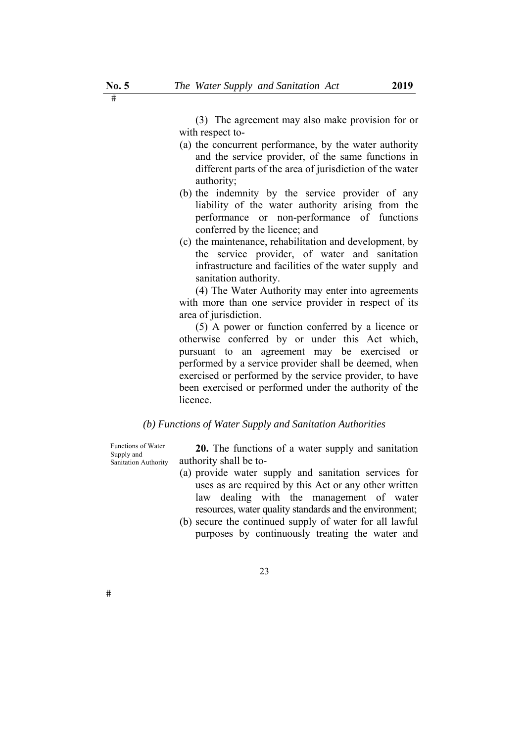(3) The agreement may also make provision for or with respect to-

- (a) the concurrent performance, by the water authority and the service provider, of the same functions in different parts of the area of jurisdiction of the water authority;
- (b) the indemnity by the service provider of any liability of the water authority arising from the performance or non-performance of functions conferred by the licence; and
- (c) the maintenance, rehabilitation and development, by the service provider, of water and sanitation infrastructure and facilities of the water supply and sanitation authority.

(4) The Water Authority may enter into agreements with more than one service provider in respect of its area of jurisdiction.

(5) A power or function conferred by a licence or otherwise conferred by or under this Act which, pursuant to an agreement may be exercised or performed by a service provider shall be deemed, when exercised or performed by the service provider, to have been exercised or performed under the authority of the licence.

#### *(b) Functions of Water Supply and Sanitation Authorities*

Functions of Water Supply and Sanitation Authority

**20.** The functions of a water supply and sanitation authority shall be to-

- (a) provide water supply and sanitation services for uses as are required by this Act or any other written law dealing with the management of water resources, water quality standards and the environment;
- (b) secure the continued supply of water for all lawful purposes by continuously treating the water and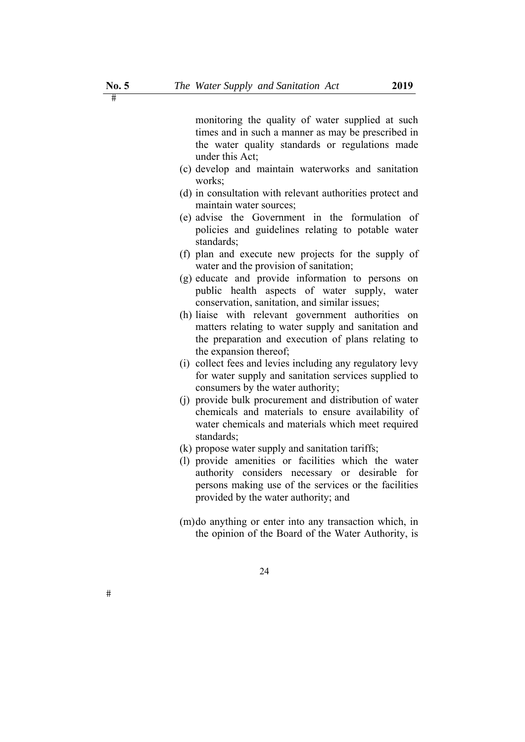monitoring the quality of water supplied at such times and in such a manner as may be prescribed in the water quality standards or regulations made under this Act;

- (c) develop and maintain waterworks and sanitation works;
- (d) in consultation with relevant authorities protect and maintain water sources;
- (e) advise the Government in the formulation of policies and guidelines relating to potable water standards;
- (f) plan and execute new projects for the supply of water and the provision of sanitation;
- (g) educate and provide information to persons on public health aspects of water supply, water conservation, sanitation, and similar issues;
- (h) liaise with relevant government authorities on matters relating to water supply and sanitation and the preparation and execution of plans relating to the expansion thereof;
- (i) collect fees and levies including any regulatory levy for water supply and sanitation services supplied to consumers by the water authority;
- (j) provide bulk procurement and distribution of water chemicals and materials to ensure availability of water chemicals and materials which meet required standards;
- (k) propose water supply and sanitation tariffs;
- (l) provide amenities or facilities which the water authority considers necessary or desirable for persons making use of the services or the facilities provided by the water authority; and
- (m)do anything or enter into any transaction which, in the opinion of the Board of the Water Authority, is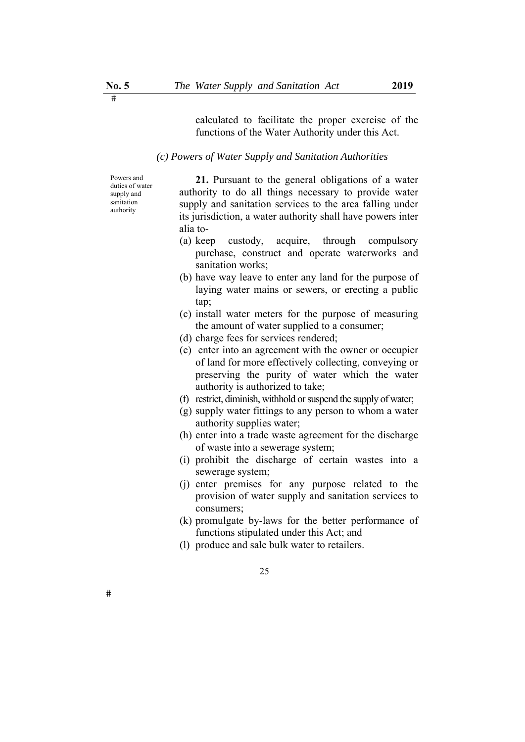calculated to facilitate the proper exercise of the functions of the Water Authority under this Act.

#### *(c) Powers of Water Supply and Sanitation Authorities*

Powers and duties of water supply and sanitation authority

**21.** Pursuant to the general obligations of a water authority to do all things necessary to provide water supply and sanitation services to the area falling under its jurisdiction, a water authority shall have powers inter alia to-

- (a) keep custody, acquire, through compulsory purchase, construct and operate waterworks and sanitation works:
- (b) have way leave to enter any land for the purpose of laying water mains or sewers, or erecting a public tap;
- (c) install water meters for the purpose of measuring the amount of water supplied to a consumer;
- (d) charge fees for services rendered;
- (e) enter into an agreement with the owner or occupier of land for more effectively collecting, conveying or preserving the purity of water which the water authority is authorized to take;
- (f) restrict, diminish, withhold or suspend the supply of water;
- (g) supply water fittings to any person to whom a water authority supplies water;
- (h) enter into a trade waste agreement for the discharge of waste into a sewerage system;
- (i) prohibit the discharge of certain wastes into a sewerage system;
- (j) enter premises for any purpose related to the provision of water supply and sanitation services to consumers;
- (k) promulgate by-laws for the better performance of functions stipulated under this Act; and
- (l) produce and sale bulk water to retailers.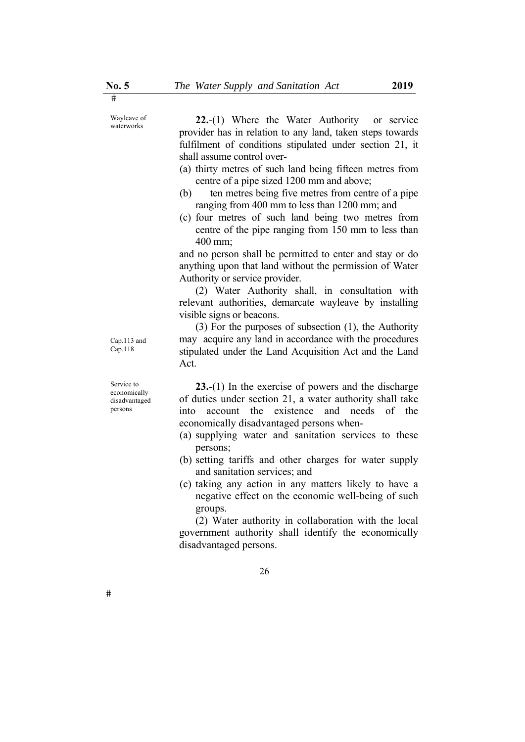**22.**-(1) Where the Water Authority or service provider has in relation to any land, taken steps towards fulfilment of conditions stipulated under section 21, it shall assume control over-

- (a) thirty metres of such land being fifteen metres from centre of a pipe sized 1200 mm and above;
- (b) ten metres being five metres from centre of a pipe ranging from 400 mm to less than 1200 mm; and
- (c) four metres of such land being two metres from centre of the pipe ranging from 150 mm to less than 400 mm;

and no person shall be permitted to enter and stay or do anything upon that land without the permission of Water Authority or service provider.

(2) Water Authority shall, in consultation with relevant authorities, demarcate wayleave by installing visible signs or beacons.

(3) For the purposes of subsection (1), the Authority may acquire any land in accordance with the procedures stipulated under the Land Acquisition Act and the Land Act.

**23.**-(1) In the exercise of powers and the discharge of duties under section 21, a water authority shall take into account the existence and needs of the economically disadvantaged persons when-

- (a) supplying water and sanitation services to these persons;
- (b) setting tariffs and other charges for water supply and sanitation services; and
- (c) taking any action in any matters likely to have a negative effect on the economic well-being of such groups.

(2) Water authority in collaboration with the local government authority shall identify the economically disadvantaged persons.

Wayleave of<br>waterworks

Cap.113 and Cap.118

Service to economically disadvantaged persons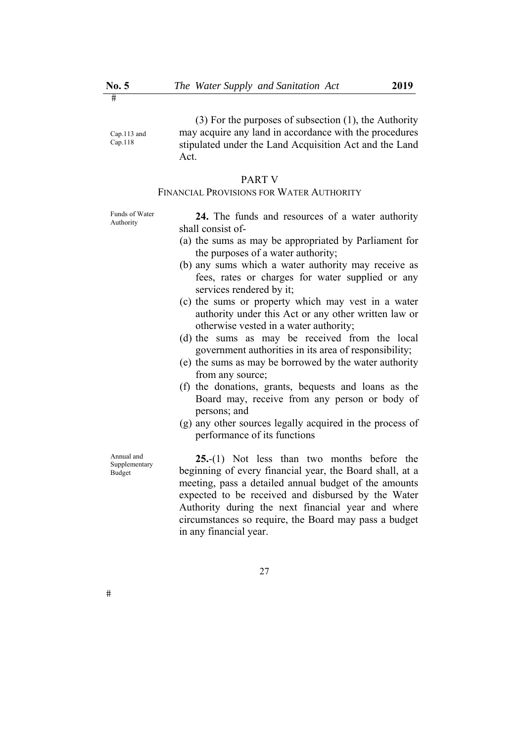Cap.113 and Cap.118

(3) For the purposes of subsection (1), the Authority may acquire any land in accordance with the procedures stipulated under the Land Acquisition Act and the Land Act.

#### PART V

## FINANCIAL PROVISIONS FOR WATER AUTHORITY

Funds of Water

Funds of Water **24.** The funds and resources of a water authority shall consist of-

- (a) the sums as may be appropriated by Parliament for the purposes of a water authority;
- (b) any sums which a water authority may receive as fees, rates or charges for water supplied or any services rendered by it;
- (c) the sums or property which may vest in a water authority under this Act or any other written law or otherwise vested in a water authority;
- (d) the sums as may be received from the local government authorities in its area of responsibility;
- (e) the sums as may be borrowed by the water authority from any source;
- (f) the donations, grants, bequests and loans as the Board may, receive from any person or body of persons; and
- (g) any other sources legally acquired in the process of performance of its functions

Annual and Supplementary Budget

**25.**-(1) Not less than two months before the beginning of every financial year, the Board shall, at a meeting, pass a detailed annual budget of the amounts expected to be received and disbursed by the Water Authority during the next financial year and where circumstances so require, the Board may pass a budget in any financial year.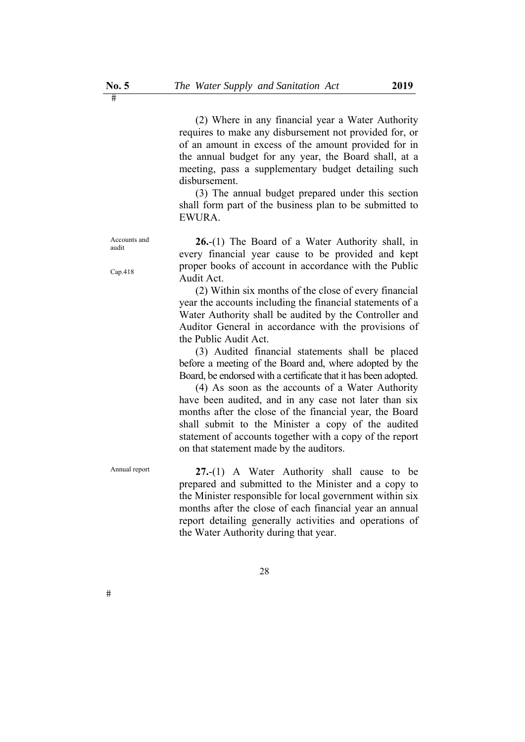(2) Where in any financial year a Water Authority requires to make any disbursement not provided for, or of an amount in excess of the amount provided for in the annual budget for any year, the Board shall, at a meeting, pass a supplementary budget detailing such disbursement.

(3) The annual budget prepared under this section shall form part of the business plan to be submitted to EWURA.

**26.**-(1) The Board of a Water Authority shall, in every financial year cause to be provided and kept proper books of account in accordance with the Public Audit Act.

(2) Within six months of the close of every financial year the accounts including the financial statements of a Water Authority shall be audited by the Controller and Auditor General in accordance with the provisions of the Public Audit Act.

(3) Audited financial statements shall be placed before a meeting of the Board and, where adopted by the Board, be endorsed with a certificate that it has been adopted.

(4) As soon as the accounts of a Water Authority have been audited, and in any case not later than six months after the close of the financial year, the Board shall submit to the Minister a copy of the audited statement of accounts together with a copy of the report on that statement made by the auditors.

Annual report **27.-(1)** A Water Authority shall cause to be prepared and submitted to the Minister and a copy to the Minister responsible for local government within six months after the close of each financial year an annual report detailing generally activities and operations of the Water Authority during that year.

Cap.418

Accounts and audit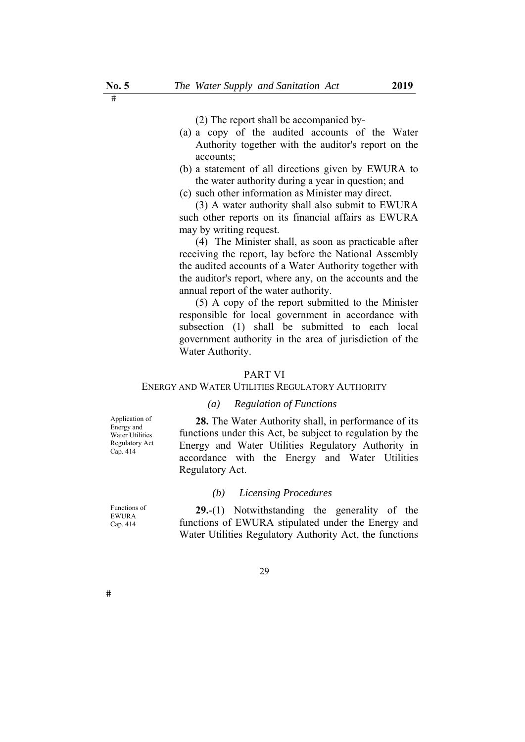(2) The report shall be accompanied by-

- (a) a copy of the audited accounts of the Water Authority together with the auditor's report on the accounts;
- (b) a statement of all directions given by EWURA to the water authority during a year in question; and
- (c) such other information as Minister may direct.

(3) A water authority shall also submit to EWURA such other reports on its financial affairs as EWURA may by writing request.

(4) The Minister shall, as soon as practicable after receiving the report, lay before the National Assembly the audited accounts of a Water Authority together with the auditor's report, where any, on the accounts and the annual report of the water authority.

(5) A copy of the report submitted to the Minister responsible for local government in accordance with subsection (1) shall be submitted to each local government authority in the area of jurisdiction of the Water Authority.

#### PART VI

#### ENERGY AND WATER UTILITIES REGULATORY AUTHORITY

#### *(a) Regulation of Functions*

Application of Energy and Water Utilities Regulatory Act Cap. 414

**28.** The Water Authority shall, in performance of its functions under this Act, be subject to regulation by the Energy and Water Utilities Regulatory Authority in accordance with the Energy and Water Utilities Regulatory Act.

#### *(b) Licensing Procedures*

**29.**-(1) Notwithstanding the generality of the functions of EWURA stipulated under the Energy and Water Utilities Regulatory Authority Act, the functions

Functions of EWURA Cap. 414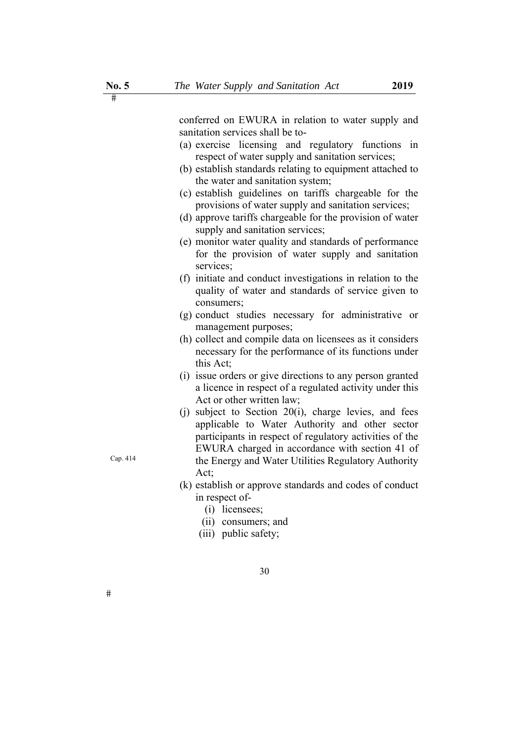sanitation services shall be to- (a) exercise licensing and regulatory functions in respect of water supply and sanitation services; (b) establish standards relating to equipment attached to the water and sanitation system; (c) establish guidelines on tariffs chargeable for the provisions of water supply and sanitation services; (d) approve tariffs chargeable for the provision of water supply and sanitation services; (e) monitor water quality and standards of performance for the provision of water supply and sanitation services; (f) initiate and conduct investigations in relation to the quality of water and standards of service given to consumers; (g) conduct studies necessary for administrative or management purposes; (h) collect and compile data on licensees as it considers necessary for the performance of its functions under this Act; (i) issue orders or give directions to any person granted a licence in respect of a regulated activity under this Act or other written law; (i) subject to Section  $20(i)$ , charge levies, and fees applicable to Water Authority and other sector participants in respect of regulatory activities of the EWURA charged in accordance with section 41 of

> the Energy and Water Utilities Regulatory Authority Act;

- (k) establish or approve standards and codes of conduct in respect of-
	- (i) licensees;
	- (ii) consumers; and

30

(iii) public safety;

Cap. 414

 $\overline{\mathbf{H}}$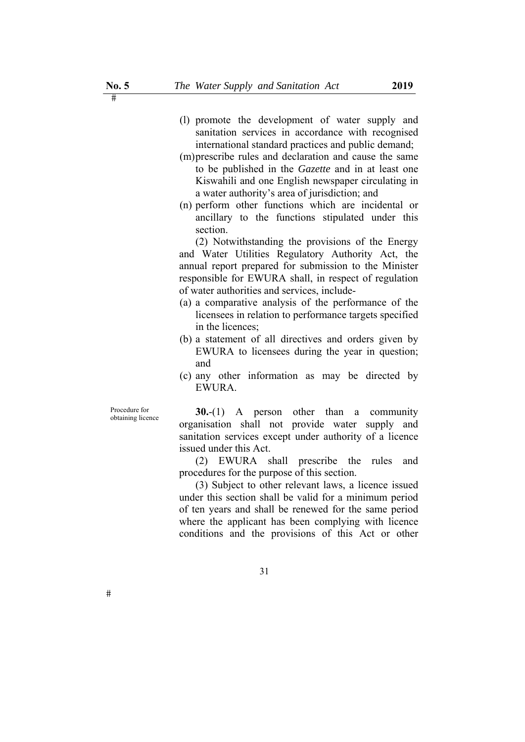- (l) promote the development of water supply and sanitation services in accordance with recognised international standard practices and public demand;
- (m)prescribe rules and declaration and cause the same to be published in the *Gazette* and in at least one Kiswahili and one English newspaper circulating in a water authority's area of jurisdiction; and
- (n) perform other functions which are incidental or ancillary to the functions stipulated under this section.

(2) Notwithstanding the provisions of the Energy and Water Utilities Regulatory Authority Act, the annual report prepared for submission to the Minister responsible for EWURA shall, in respect of regulation of water authorities and services, include-

- (a) a comparative analysis of the performance of the licensees in relation to performance targets specified in the licences;
- (b) a statement of all directives and orders given by EWURA to licensees during the year in question; and
- (c) any other information as may be directed by EWURA.

Procedure for

 $#$ 

Procedure for **30.**-(1) A person other than a community obtaining licence organisation shall not provide water supply and sanitation services except under authority of a licence issued under this Act.

> (2) EWURA shall prescribe the rules and procedures for the purpose of this section.

> (3) Subject to other relevant laws, a licence issued under this section shall be valid for a minimum period of ten years and shall be renewed for the same period where the applicant has been complying with licence conditions and the provisions of this Act or other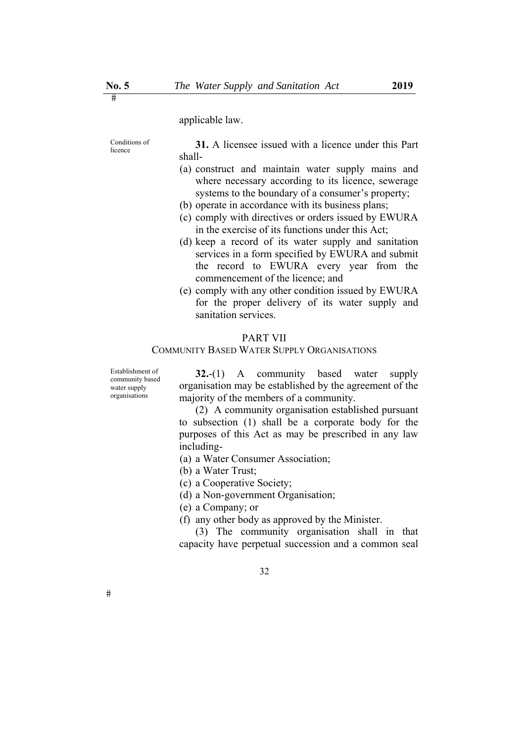applicable law.

Conditions of Conditions of **31.** A licensee issued with a licence under this Part shall-

- (a) construct and maintain water supply mains and where necessary according to its licence, sewerage systems to the boundary of a consumer's property;
- (b) operate in accordance with its business plans;
- (c) comply with directives or orders issued by EWURA in the exercise of its functions under this Act;
- (d) keep a record of its water supply and sanitation services in a form specified by EWURA and submit the record to EWURA every year from the commencement of the licence; and
- (e) comply with any other condition issued by EWURA for the proper delivery of its water supply and sanitation services.

#### PART VII

#### COMMUNITY BASED WATER SUPPLY ORGANISATIONS

Establishment of community based water supply organisations

**32.**-(1) A community based water supply organisation may be established by the agreement of the majority of the members of a community.

(2) A community organisation established pursuant to subsection (1) shall be a corporate body for the purposes of this Act as may be prescribed in any law including-

(a) a Water Consumer Association;

(b) a Water Trust;

(c) a Cooperative Society;

(d) a Non-government Organisation;

(e) a Company; or

(f) any other body as approved by the Minister.

(3) The community organisation shall in that capacity have perpetual succession and a common seal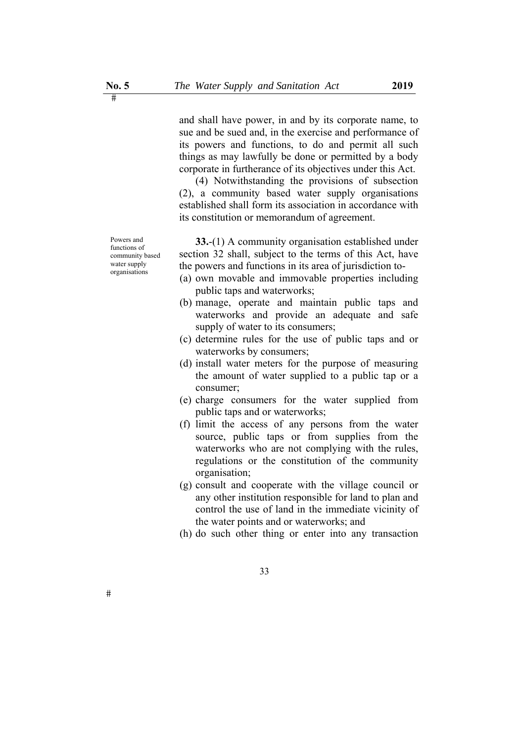and shall have power, in and by its corporate name, to sue and be sued and, in the exercise and performance of its powers and functions, to do and permit all such things as may lawfully be done or permitted by a body corporate in furtherance of its objectives under this Act.

(4) Notwithstanding the provisions of subsection (2), a community based water supply organisations established shall form its association in accordance with its constitution or memorandum of agreement.

**33.**-(1) A community organisation established under section 32 shall, subject to the terms of this Act, have the powers and functions in its area of jurisdiction to-

- (a) own movable and immovable properties including public taps and waterworks;
- (b) manage, operate and maintain public taps and waterworks and provide an adequate and safe supply of water to its consumers;
- (c) determine rules for the use of public taps and or waterworks by consumers;
- (d) install water meters for the purpose of measuring the amount of water supplied to a public tap or a consumer;
- (e) charge consumers for the water supplied from public taps and or waterworks;
- (f) limit the access of any persons from the water source, public taps or from supplies from the waterworks who are not complying with the rules, regulations or the constitution of the community organisation;
- (g) consult and cooperate with the village council or any other institution responsible for land to plan and control the use of land in the immediate vicinity of the water points and or waterworks; and
- (h) do such other thing or enter into any transaction

Powers and functions of community based water supply organisations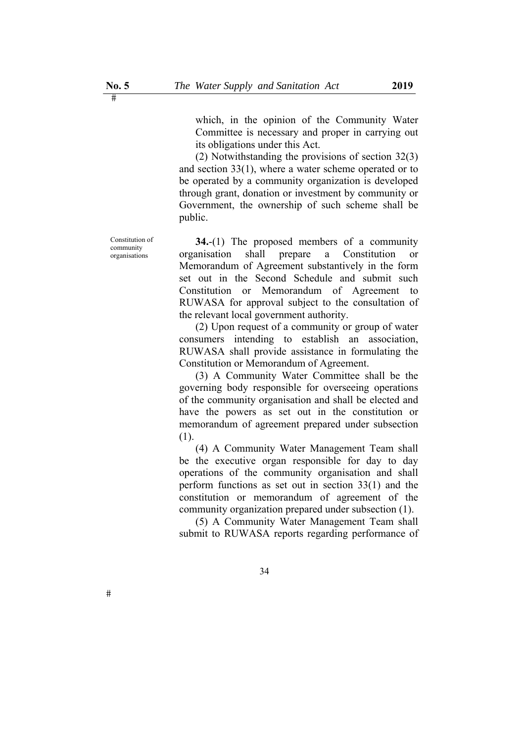which, in the opinion of the Community Water Committee is necessary and proper in carrying out its obligations under this Act.

(2) Notwithstanding the provisions of section 32(3) and section 33(1), where a water scheme operated or to be operated by a community organization is developed through grant, donation or investment by community or Government, the ownership of such scheme shall be public.

**34.**-(1) The proposed members of a community organisation shall prepare a Constitution or Memorandum of Agreement substantively in the form set out in the Second Schedule and submit such Constitution or Memorandum of Agreement to RUWASA for approval subject to the consultation of the relevant local government authority.

(2) Upon request of a community or group of water consumers intending to establish an association, RUWASA shall provide assistance in formulating the Constitution or Memorandum of Agreement.

(3) A Community Water Committee shall be the governing body responsible for overseeing operations of the community organisation and shall be elected and have the powers as set out in the constitution or memorandum of agreement prepared under subsection (1).

(4) A Community Water Management Team shall be the executive organ responsible for day to day operations of the community organisation and shall perform functions as set out in section 33(1) and the constitution or memorandum of agreement of the community organization prepared under subsection (1).

(5) A Community Water Management Team shall submit to RUWASA reports regarding performance of

 $#$ 

Constitution of community organisations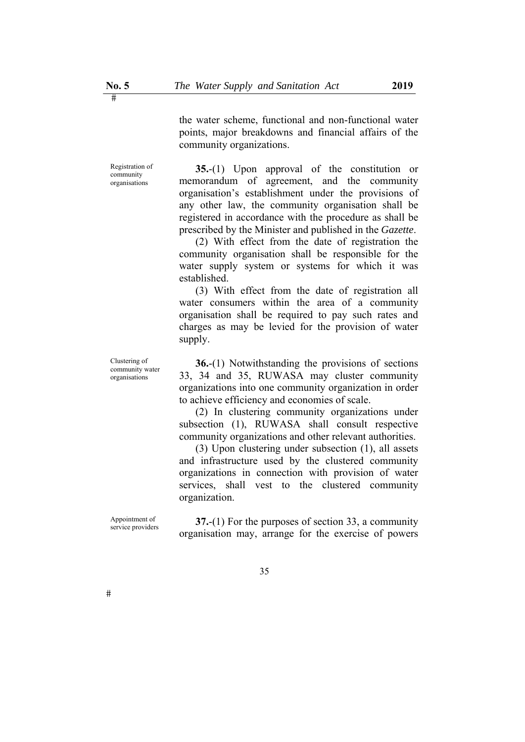community organizations.

Registration of community organisations

**35.**-(1) Upon approval of the constitution or memorandum of agreement, and the community organisation's establishment under the provisions of any other law, the community organisation shall be registered in accordance with the procedure as shall be prescribed by the Minister and published in the *Gazette*.

the water scheme, functional and non-functional water points, major breakdowns and financial affairs of the

(2) With effect from the date of registration the community organisation shall be responsible for the water supply system or systems for which it was established.

(3) With effect from the date of registration all water consumers within the area of a community organisation shall be required to pay such rates and charges as may be levied for the provision of water supply.

**36.**-(1) Notwithstanding the provisions of sections 33, 34 and 35, RUWASA may cluster community organizations into one community organization in order to achieve efficiency and economies of scale.

(2) In clustering community organizations under subsection (1), RUWASA shall consult respective community organizations and other relevant authorities.

(3) Upon clustering under subsection (1), all assets and infrastructure used by the clustered community organizations in connection with provision of water services, shall vest to the clustered community organization.

Appointment of

 $#$ 

Appointment of **37.**-(1) For the purposes of section 33, a community service providers organisation may, arrange for the exercise of powers

Clustering of community water

organisations

35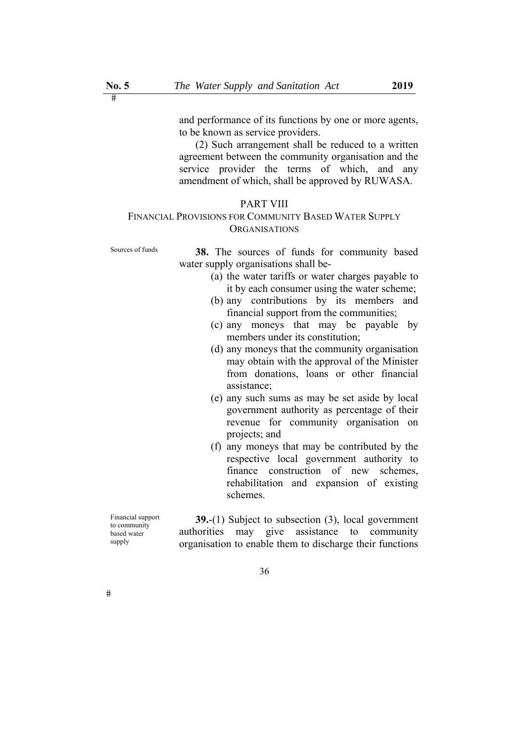and performance of its functions by one or more agents, to be known as service providers.

(2) Such arrangement shall be reduced to a written agreement between the community organisation and the service provider the terms of which, and any amendment of which, shall be approved by RUWASA.

#### PART VIII

## FINANCIAL PROVISIONS FOR COMMUNITY BASED WATER SUPPLY **ORGANISATIONS**

Sources of funds **38.** The sources of funds for community based water supply organisations shall be-

- (a) the water tariffs or water charges payable to it by each consumer using the water scheme;
- (b) any contributions by its members and financial support from the communities;
- (c) any moneys that may be payable by members under its constitution;
- (d) any moneys that the community organisation may obtain with the approval of the Minister from donations, loans or other financial assistance;
- (e) any such sums as may be set aside by local government authority as percentage of their revenue for community organisation on projects; and
- (f) any moneys that may be contributed by the respective local government authority to finance construction of new schemes, rehabilitation and expansion of existing schemes.

Financial support to community based water supply

**39.**-(1) Subject to subsection (3), local government authorities may give assistance to community organisation to enable them to discharge their functions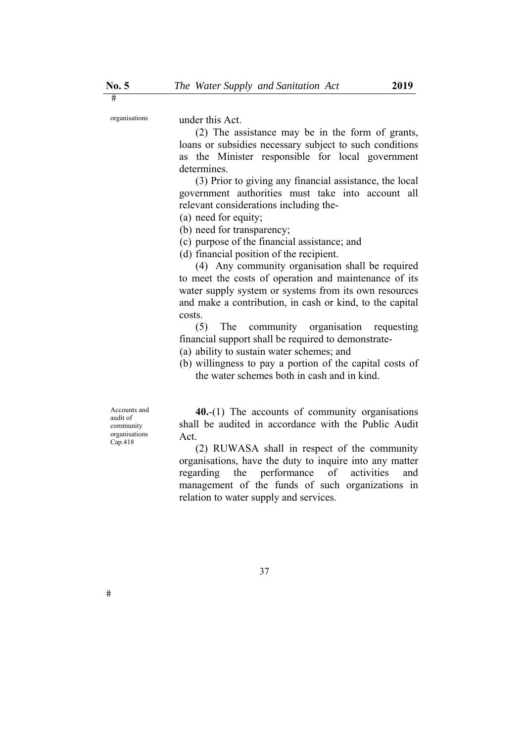organisations under this Act.

(2) The assistance may be in the form of grants, loans or subsidies necessary subject to such conditions as the Minister responsible for local government determines.

(3) Prior to giving any financial assistance, the local government authorities must take into account all relevant considerations including the-

(a) need for equity;

(b) need for transparency;

(c) purpose of the financial assistance; and

(d) financial position of the recipient.

(4) Any community organisation shall be required to meet the costs of operation and maintenance of its water supply system or systems from its own resources and make a contribution, in cash or kind, to the capital costs.

(5) The community organisation requesting financial support shall be required to demonstrate-

(a) ability to sustain water schemes; and

(b) willingness to pay a portion of the capital costs of the water schemes both in cash and in kind.

Accounts and audit of community organisations Cap.418

**40.**-(1) The accounts of community organisations shall be audited in accordance with the Public Audit Act.

(2) RUWASA shall in respect of the community organisations, have the duty to inquire into any matter regarding the performance of activities and management of the funds of such organizations in relation to water supply and services.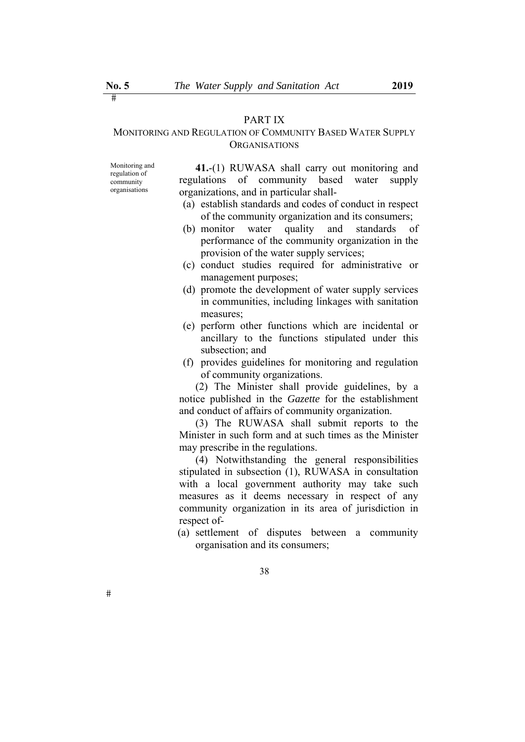# PART IX

# MONITORING AND REGULATION OF COMMUNITY BASED WATER SUPPLY **ORGANISATIONS**

Monitoring and regulation of community organisations

**41.**-(1) RUWASA shall carry out monitoring and regulations of community based water supply organizations, and in particular shall-

- (a) establish standards and codes of conduct in respect of the community organization and its consumers;
- (b) monitor water quality and standards of performance of the community organization in the provision of the water supply services;
- (c) conduct studies required for administrative or management purposes;
- (d) promote the development of water supply services in communities, including linkages with sanitation measures;
- (e) perform other functions which are incidental or ancillary to the functions stipulated under this subsection; and
- (f) provides guidelines for monitoring and regulation of community organizations.

(2) The Minister shall provide guidelines, by a notice published in the *Gazette* for the establishment and conduct of affairs of community organization.

(3) The RUWASA shall submit reports to the Minister in such form and at such times as the Minister may prescribe in the regulations.

(4) Notwithstanding the general responsibilities stipulated in subsection (1), RUWASA in consultation with a local government authority may take such measures as it deems necessary in respect of any community organization in its area of jurisdiction in respect of-

(a) settlement of disputes between a community organisation and its consumers;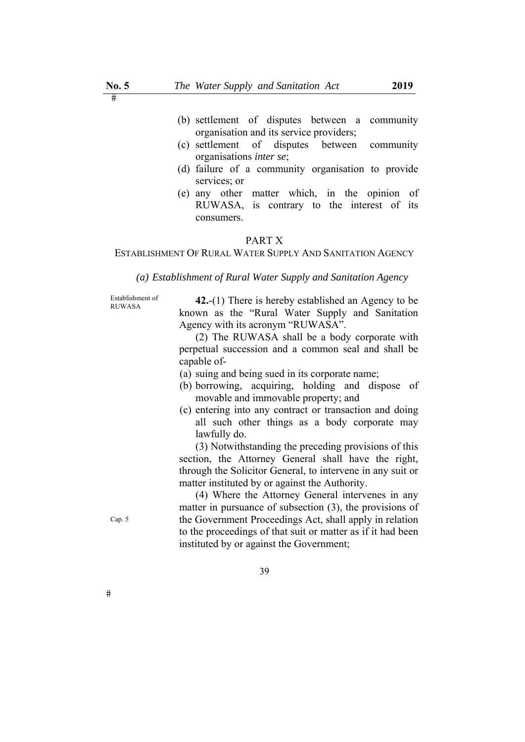- (b) settlement of disputes between a community organisation and its service providers;
- (c) settlement of disputes between community organisations *inter se*;
- (d) failure of a community organisation to provide services; or
- (e) any other matter which, in the opinion of RUWASA, is contrary to the interest of its consumers.

### PART X

ESTABLISHMENT OF RURAL WATER SUPPLY AND SANITATION AGENCY

*(a) Establishment of Rural Water Supply and Sanitation Agency* 

Establishment of<br>RUWASA

**42.**-(1) There is hereby established an Agency to be known as the "Rural Water Supply and Sanitation Agency with its acronym "RUWASA".

(2) The RUWASA shall be a body corporate with perpetual succession and a common seal and shall be capable of-

- (a) suing and being sued in its corporate name;
- (b) borrowing, acquiring, holding and dispose of movable and immovable property; and
- (c) entering into any contract or transaction and doing all such other things as a body corporate may lawfully do.

(3) Notwithstanding the preceding provisions of this section, the Attorney General shall have the right, through the Solicitor General, to intervene in any suit or matter instituted by or against the Authority.

(4) Where the Attorney General intervenes in any matter in pursuance of subsection (3), the provisions of the Government Proceedings Act, shall apply in relation to the proceedings of that suit or matter as if it had been instituted by or against the Government;

Cap. 5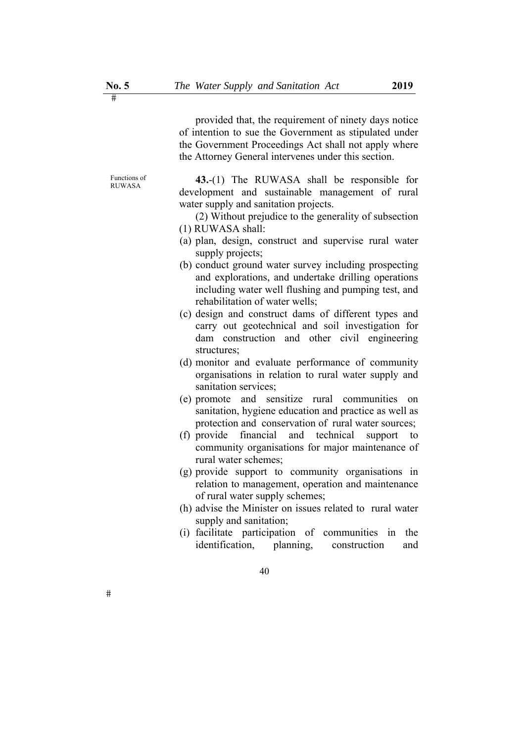provided that, the requirement of ninety days notice of intention to sue the Government as stipulated under the Government Proceedings Act shall not apply where the Attorney General intervenes under this section.

Functions of

 $#$ 

Functions of **43.**-(1) The RUWASA shall be responsible for development and sustainable management of rural water supply and sanitation projects.

- (2) Without prejudice to the generality of subsection (1) RUWASA shall:
- (a) plan, design, construct and supervise rural water supply projects;
- (b) conduct ground water survey including prospecting and explorations, and undertake drilling operations including water well flushing and pumping test, and rehabilitation of water wells;
- (c) design and construct dams of different types and carry out geotechnical and soil investigation for dam construction and other civil engineering structures;
- (d) monitor and evaluate performance of community organisations in relation to rural water supply and sanitation services;
- (e) promote and sensitize rural communities on sanitation, hygiene education and practice as well as protection and conservation of rural water sources;
- (f) provide financial and technical support to community organisations for major maintenance of rural water schemes;
- (g) provide support to community organisations in relation to management, operation and maintenance of rural water supply schemes;
- (h) advise the Minister on issues related to rural water supply and sanitation;
- (i) facilitate participation of communities in the identification, planning, construction and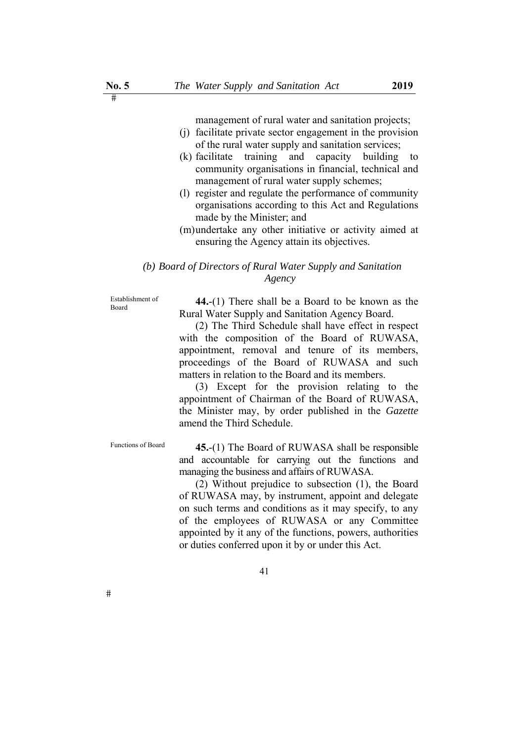management of rural water and sanitation projects;

- (j) facilitate private sector engagement in the provision of the rural water supply and sanitation services;
- (k) facilitate training and capacity building to community organisations in financial, technical and management of rural water supply schemes;
- (l) register and regulate the performance of community organisations according to this Act and Regulations made by the Minister; and
- (m)undertake any other initiative or activity aimed at ensuring the Agency attain its objectives.

# *(b) Board of Directors of Rural Water Supply and Sanitation Agency*

Establishment of

Establishment of **44.**-(1) There shall be a Board to be known as the Rural Water Supply and Sanitation Agency Board.

> (2) The Third Schedule shall have effect in respect with the composition of the Board of RUWASA, appointment, removal and tenure of its members, proceedings of the Board of RUWASA and such matters in relation to the Board and its members.

> (3) Except for the provision relating to the appointment of Chairman of the Board of RUWASA, the Minister may, by order published in the *Gazette* amend the Third Schedule.

Functions of Board **45.-(1)** The Board of RUWASA shall be responsible and accountable for carrying out the functions and managing the business and affairs of RUWASA.

> (2) Without prejudice to subsection (1), the Board of RUWASA may, by instrument, appoint and delegate on such terms and conditions as it may specify, to any of the employees of RUWASA or any Committee appointed by it any of the functions, powers, authorities or duties conferred upon it by or under this Act.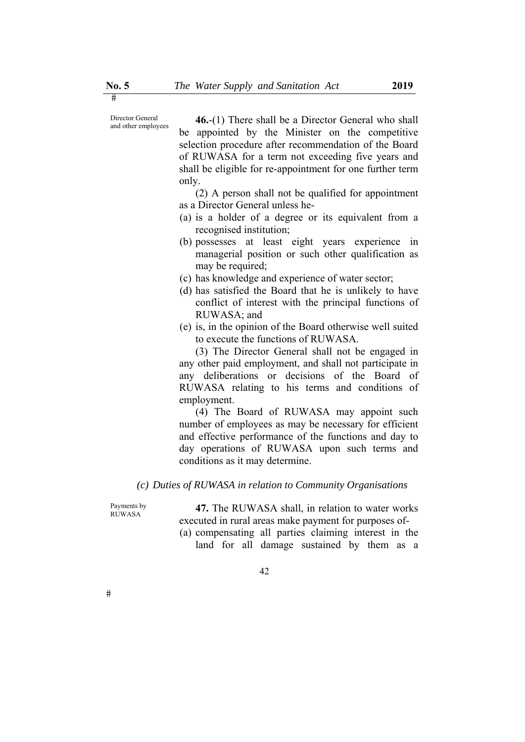Director General

Director General **46.**-(1) There shall be a Director General who shall and other employees be appointed by the Minister on the competitive selection procedure after recommendation of the Board of RUWASA for a term not exceeding five years and shall be eligible for re-appointment for one further term only.

> (2) A person shall not be qualified for appointment as a Director General unless he-

- (a) is a holder of a degree or its equivalent from a recognised institution;
- (b) possesses at least eight years experience in managerial position or such other qualification as may be required;
- (c) has knowledge and experience of water sector;
- (d) has satisfied the Board that he is unlikely to have conflict of interest with the principal functions of RUWASA; and
- (e) is, in the opinion of the Board otherwise well suited to execute the functions of RUWASA.

(3) The Director General shall not be engaged in any other paid employment, and shall not participate in any deliberations or decisions of the Board of RUWASA relating to his terms and conditions of employment.

(4) The Board of RUWASA may appoint such number of employees as may be necessary for efficient and effective performance of the functions and day to day operations of RUWASA upon such terms and conditions as it may determine.

*(c) Duties of RUWASA in relation to Community Organisations* 

Payments by<br>RUWASA

47. The RUWASA shall, in relation to water works executed in rural areas make payment for purposes of-

(a) compensating all parties claiming interest in the land for all damage sustained by them as a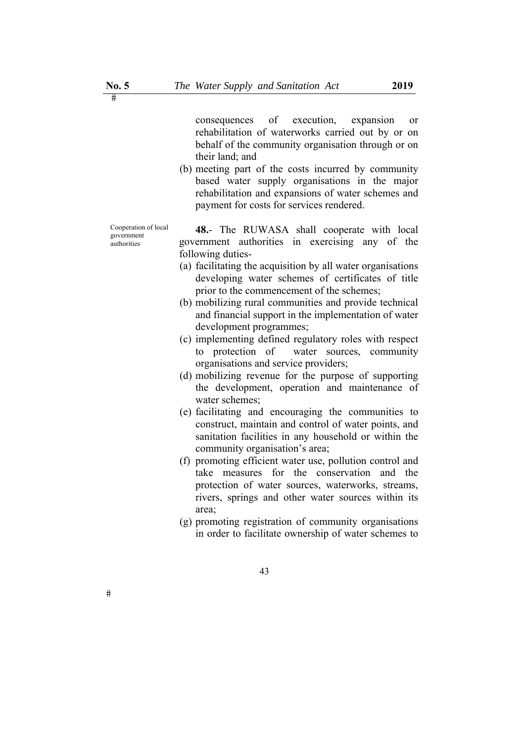consequences of execution, expansion or rehabilitation of waterworks carried out by or on behalf of the community organisation through or on their land; and

(b) meeting part of the costs incurred by community based water supply organisations in the major rehabilitation and expansions of water schemes and payment for costs for services rendered.

Cooperation of local government authorities

**48.**- The RUWASA shall cooperate with local government authorities in exercising any of the following duties-

- (a) facilitating the acquisition by all water organisations developing water schemes of certificates of title prior to the commencement of the schemes;
- (b) mobilizing rural communities and provide technical and financial support in the implementation of water development programmes;
- (c) implementing defined regulatory roles with respect to protection of water sources, community organisations and service providers;
- (d) mobilizing revenue for the purpose of supporting the development, operation and maintenance of water schemes;
- (e) facilitating and encouraging the communities to construct, maintain and control of water points, and sanitation facilities in any household or within the community organisation's area;
- (f) promoting efficient water use, pollution control and take measures for the conservation and the protection of water sources, waterworks, streams, rivers, springs and other water sources within its area;
- (g) promoting registration of community organisations in order to facilitate ownership of water schemes to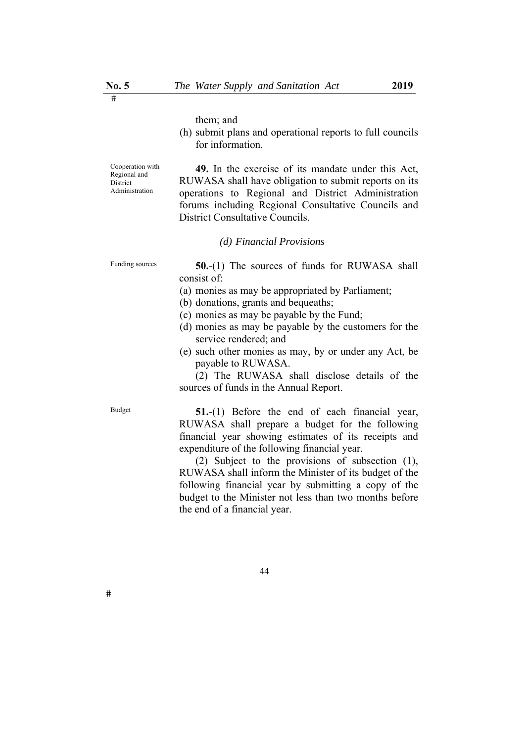them; and

(h) submit plans and operational reports to full councils for information.

Cooperation with Regional and **District** Administration

**49.** In the exercise of its mandate under this Act, RUWASA shall have obligation to submit reports on its operations to Regional and District Administration forums including Regional Consultative Councils and District Consultative Councils.

### *(d) Financial Provisions*

Funding sources **50.**-(1) The sources of funds for RUWASA shall consist of:

- (a) monies as may be appropriated by Parliament;
- (b) donations, grants and bequeaths;
- (c) monies as may be payable by the Fund;
- (d) monies as may be payable by the customers for the service rendered; and
- (e) such other monies as may, by or under any Act, be payable to RUWASA.

(2) The RUWASA shall disclose details of the sources of funds in the Annual Report.

 $#$ 

Budget **51.**-(1) Before the end of each financial year, RUWASA shall prepare a budget for the following financial year showing estimates of its receipts and expenditure of the following financial year.

> (2) Subject to the provisions of subsection (1), RUWASA shall inform the Minister of its budget of the following financial year by submitting a copy of the budget to the Minister not less than two months before the end of a financial year.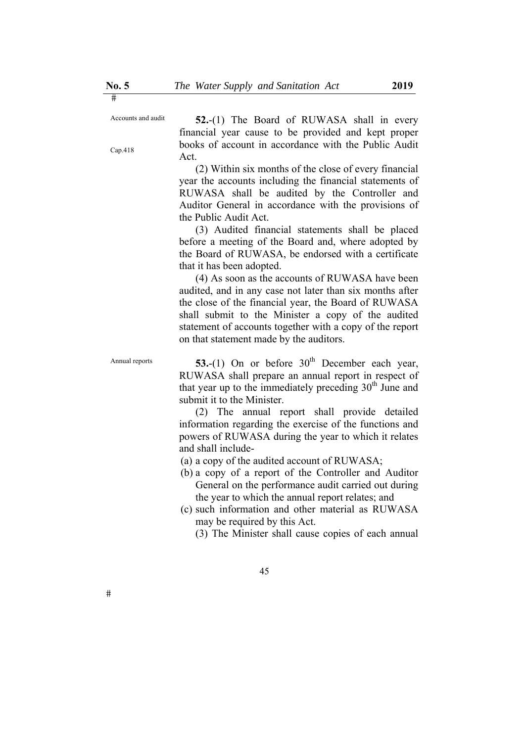Accounts and audit

Cap.418

 $\overline{\mathbf{H}}$ 

**52.**-(1) The Board of RUWASA shall in every financial year cause to be provided and kept proper books of account in accordance with the Public Audit Act.

(2) Within six months of the close of every financial year the accounts including the financial statements of RUWASA shall be audited by the Controller and Auditor General in accordance with the provisions of the Public Audit Act.

(3) Audited financial statements shall be placed before a meeting of the Board and, where adopted by the Board of RUWASA, be endorsed with a certificate that it has been adopted.

(4) As soon as the accounts of RUWASA have been audited, and in any case not later than six months after the close of the financial year, the Board of RUWASA shall submit to the Minister a copy of the audited statement of accounts together with a copy of the report on that statement made by the auditors.

Annual reports  $53-(1)$  On or before  $30<sup>th</sup>$  December each year, RUWASA shall prepare an annual report in respect of that year up to the immediately preceding  $30<sup>th</sup>$  June and submit it to the Minister.

> (2) The annual report shall provide detailed information regarding the exercise of the functions and powers of RUWASA during the year to which it relates and shall include-

- (a) a copy of the audited account of RUWASA;
- (b) a copy of a report of the Controller and Auditor General on the performance audit carried out during the year to which the annual report relates; and
- (c) such information and other material as RUWASA may be required by this Act.
	- (3) The Minister shall cause copies of each annual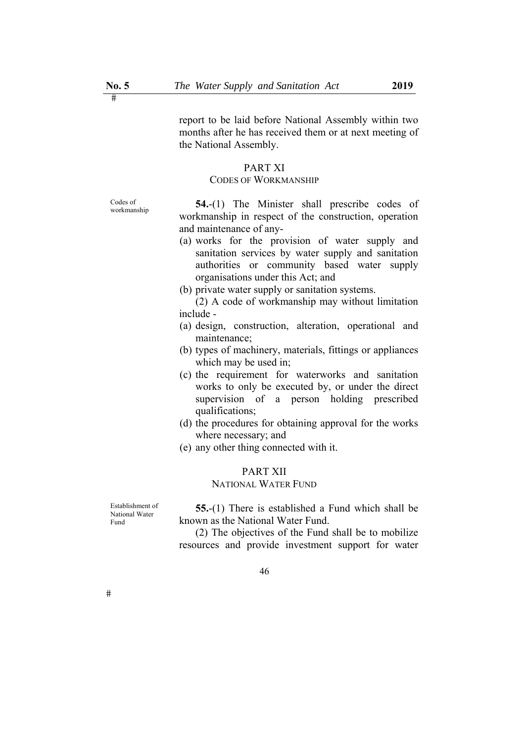report to be laid before National Assembly within two months after he has received them or at next meeting of

### PART XI

the National Assembly.

### CODES OF WORKMANSHIP

Codes of

workmanship **54.**-(1) The Minister shall prescribe codes of workmanship in respect of the construction, operation and maintenance of any-

- (a) works for the provision of water supply and sanitation services by water supply and sanitation authorities or community based water supply organisations under this Act; and
- (b) private water supply or sanitation systems.

(2) A code of workmanship may without limitation include -

- (a) design, construction, alteration, operational and maintenance;
- (b) types of machinery, materials, fittings or appliances which may be used in;
- (c) the requirement for waterworks and sanitation works to only be executed by, or under the direct supervision of a person holding prescribed qualifications;
- (d) the procedures for obtaining approval for the works where necessary; and
- (e) any other thing connected with it.

# PART XII

# NATIONAL WATER FUND

Establishment of National Water Fund

**55.**-(1) There is established a Fund which shall be known as the National Water Fund.

(2) The objectives of the Fund shall be to mobilize resources and provide investment support for water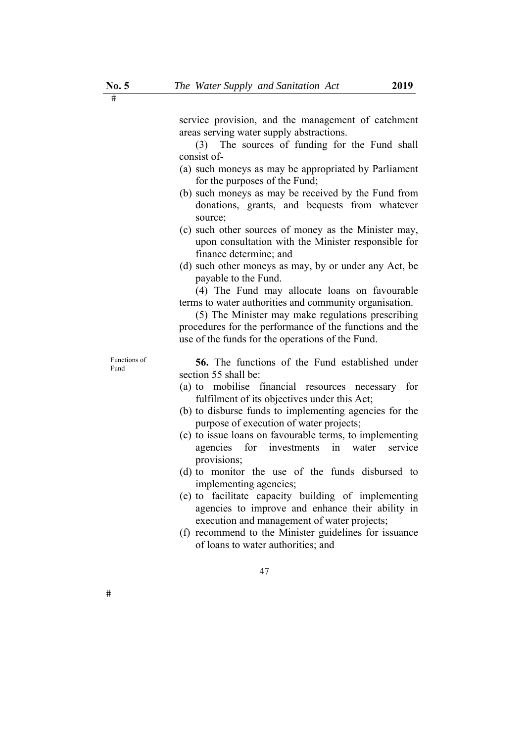service provision, and the management of catchment areas serving water supply abstractions.

(3) The sources of funding for the Fund shall consist of-

- (a) such moneys as may be appropriated by Parliament for the purposes of the Fund;
- (b) such moneys as may be received by the Fund from donations, grants, and bequests from whatever source;
- (c) such other sources of money as the Minister may, upon consultation with the Minister responsible for finance determine; and
- (d) such other moneys as may, by or under any Act, be payable to the Fund.

(4) The Fund may allocate loans on favourable terms to water authorities and community organisation.

(5) The Minister may make regulations prescribing procedures for the performance of the functions and the use of the funds for the operations of the Fund.

Functions of

Functions of **56.** The functions of the Fund established under section 55 shall be:

- (a) to mobilise financial resources necessary for fulfilment of its objectives under this Act;
- (b) to disburse funds to implementing agencies for the purpose of execution of water projects;
- (c) to issue loans on favourable terms, to implementing agencies for investments in water service provisions;
- (d) to monitor the use of the funds disbursed to implementing agencies;
- (e) to facilitate capacity building of implementing agencies to improve and enhance their ability in execution and management of water projects;
- (f) recommend to the Minister guidelines for issuance of loans to water authorities; and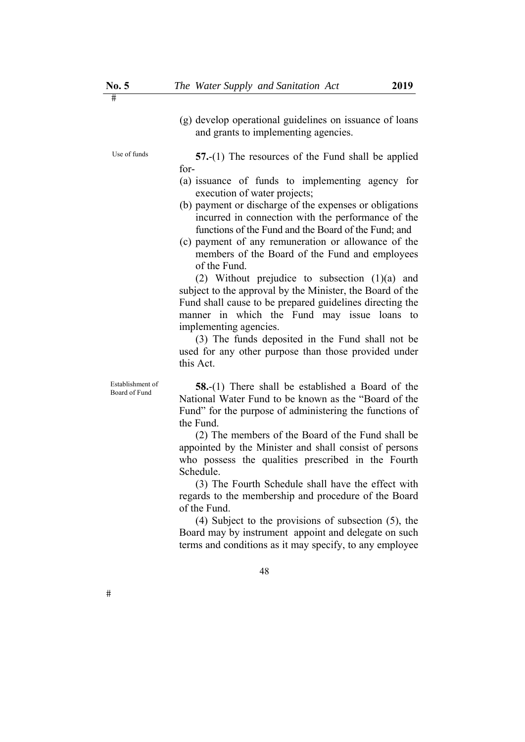(g) develop operational guidelines on issuance of loans and grants to implementing agencies.

Use of funds  $57-(1)$  The resources of the Fund shall be applied for-

- (a) issuance of funds to implementing agency for execution of water projects;
- (b) payment or discharge of the expenses or obligations incurred in connection with the performance of the functions of the Fund and the Board of the Fund; and
- (c) payment of any remuneration or allowance of the members of the Board of the Fund and employees of the Fund.

(2) Without prejudice to subsection (1)(a) and subject to the approval by the Minister, the Board of the Fund shall cause to be prepared guidelines directing the manner in which the Fund may issue loans to implementing agencies.

(3) The funds deposited in the Fund shall not be used for any other purpose than those provided under this Act.

Establishment of

Establishment of **58.**-(1) There shall be established a Board of the Board of the National Water Fund to be known as the "Board of the Fund" for the purpose of administering the functions of the Fund.

> (2) The members of the Board of the Fund shall be appointed by the Minister and shall consist of persons who possess the qualities prescribed in the Fourth Schedule.

> (3) The Fourth Schedule shall have the effect with regards to the membership and procedure of the Board of the Fund.

> (4) Subject to the provisions of subsection (5), the Board may by instrument appoint and delegate on such terms and conditions as it may specify, to any employee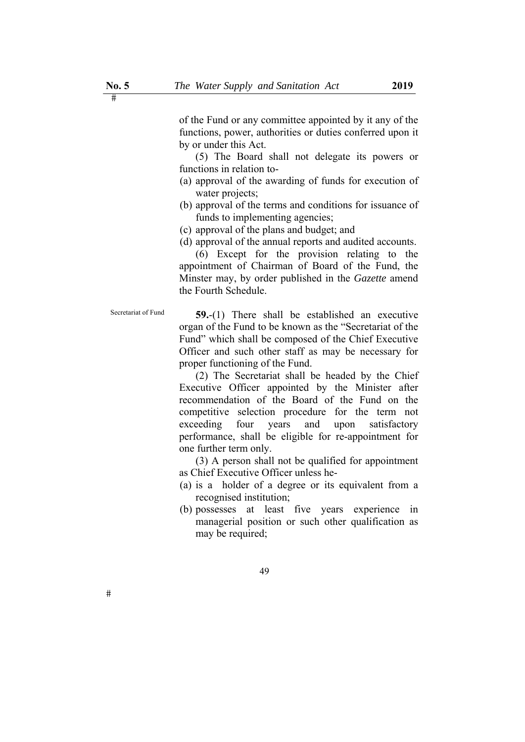of the Fund or any committee appointed by it any of the functions, power, authorities or duties conferred upon it by or under this Act.

(5) The Board shall not delegate its powers or functions in relation to-

- (a) approval of the awarding of funds for execution of water projects;
- (b) approval of the terms and conditions for issuance of funds to implementing agencies;
- (c) approval of the plans and budget; and
- (d) approval of the annual reports and audited accounts.

(6) Except for the provision relating to the appointment of Chairman of Board of the Fund, the Minster may, by order published in the *Gazette* amend the Fourth Schedule.

 $#$ 

Secretariat of Fund **59.**-(1) There shall be established an executive organ of the Fund to be known as the "Secretariat of the Fund" which shall be composed of the Chief Executive Officer and such other staff as may be necessary for proper functioning of the Fund.

> (2) The Secretariat shall be headed by the Chief Executive Officer appointed by the Minister after recommendation of the Board of the Fund on the competitive selection procedure for the term not exceeding four years and upon satisfactory performance, shall be eligible for re-appointment for one further term only.

> (3) A person shall not be qualified for appointment as Chief Executive Officer unless he-

- (a) is a holder of a degree or its equivalent from a recognised institution;
- (b) possesses at least five years experience in managerial position or such other qualification as may be required;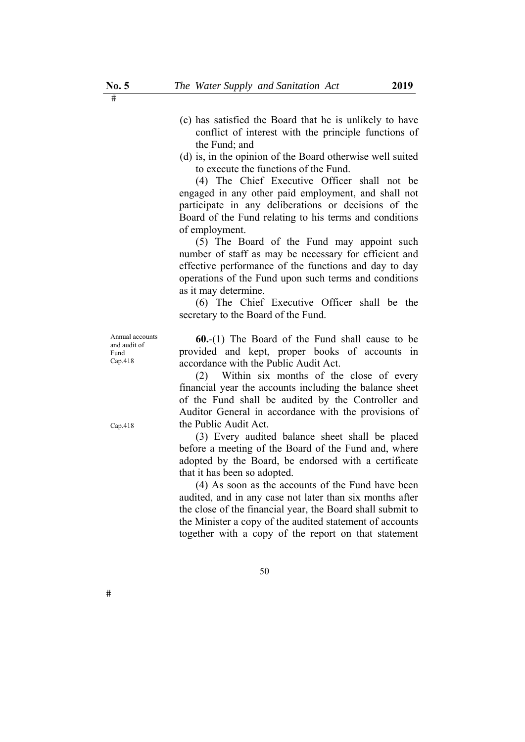- (c) has satisfied the Board that he is unlikely to have conflict of interest with the principle functions of the Fund; and
- (d) is, in the opinion of the Board otherwise well suited to execute the functions of the Fund.

(4) The Chief Executive Officer shall not be engaged in any other paid employment, and shall not participate in any deliberations or decisions of the Board of the Fund relating to his terms and conditions of employment.

(5) The Board of the Fund may appoint such number of staff as may be necessary for efficient and effective performance of the functions and day to day operations of the Fund upon such terms and conditions as it may determine.

(6) The Chief Executive Officer shall be the secretary to the Board of the Fund.

Annual accounts and audit of Fund Cap.418

**60.**-(1) The Board of the Fund shall cause to be provided and kept, proper books of accounts in accordance with the Public Audit Act.

(2) Within six months of the close of every financial year the accounts including the balance sheet of the Fund shall be audited by the Controller and Auditor General in accordance with the provisions of the Public Audit Act.

(3) Every audited balance sheet shall be placed before a meeting of the Board of the Fund and, where adopted by the Board, be endorsed with a certificate that it has been so adopted.

(4) As soon as the accounts of the Fund have been audited, and in any case not later than six months after the close of the financial year, the Board shall submit to the Minister a copy of the audited statement of accounts together with a copy of the report on that statement

Cap.418

 $#$ 

50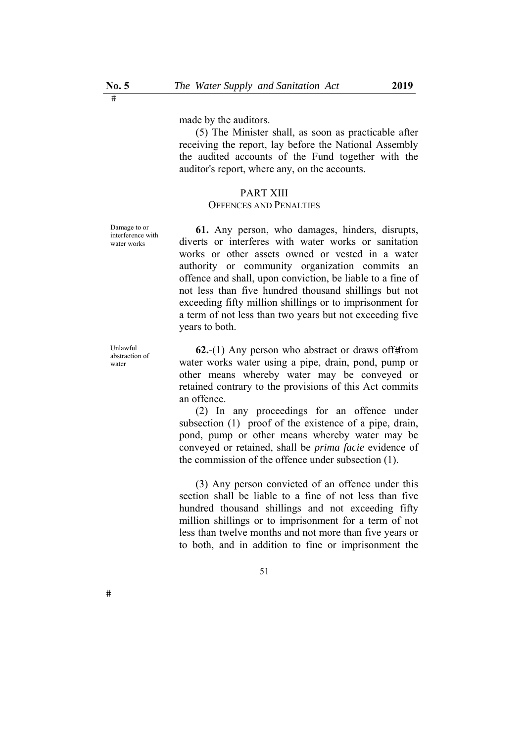made by the auditors.

(5) The Minister shall, as soon as practicable after receiving the report, lay before the National Assembly the audited accounts of the Fund together with the auditor's report, where any, on the accounts.

### PART XIII

## OFFENCES AND PENALTIES

Damage to or interference with water works

**61.** Any person, who damages, hinders, disrupts, diverts or interferes with water works or sanitation works or other assets owned or vested in a water authority or community organization commits an offence and shall, upon conviction, be liable to a fine of not less than five hundred thousand shillings but not exceeding fifty million shillings or to imprisonment for a term of not less than two years but not exceeding five years to both.

Unlawful abstraction of water

 $#$ 

**62.**-(1) Any person who abstract or draws of f# from water works water using a pipe, drain, pond, pump or other means whereby water may be conveyed or retained contrary to the provisions of this Act commits an offence.

(2) In any proceedings for an offence under subsection (1) proof of the existence of a pipe, drain, pond, pump or other means whereby water may be conveyed or retained, shall be *prima facie* evidence of the commission of the offence under subsection (1).

(3) Any person convicted of an offence under this section shall be liable to a fine of not less than five hundred thousand shillings and not exceeding fifty million shillings or to imprisonment for a term of not less than twelve months and not more than five years or to both, and in addition to fine or imprisonment the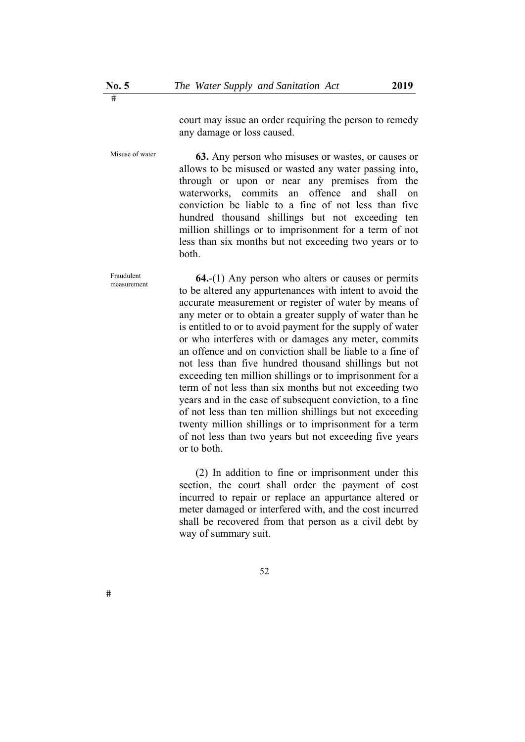court may issue an order requiring the person to remedy any damage or loss caused.

Misuse of water **63.** Any person who misuses or wastes, or causes or allows to be misused or wasted any water passing into, through or upon or near any premises from the waterworks, commits an offence and shall on conviction be liable to a fine of not less than five hundred thousand shillings but not exceeding ten million shillings or to imprisonment for a term of not less than six months but not exceeding two years or to both.

> **64.**-(1) Any person who alters or causes or permits to be altered any appurtenances with intent to avoid the accurate measurement or register of water by means of any meter or to obtain a greater supply of water than he is entitled to or to avoid payment for the supply of water or who interferes with or damages any meter, commits an offence and on conviction shall be liable to a fine of not less than five hundred thousand shillings but not exceeding ten million shillings or to imprisonment for a term of not less than six months but not exceeding two years and in the case of subsequent conviction, to a fine of not less than ten million shillings but not exceeding twenty million shillings or to imprisonment for a term of not less than two years but not exceeding five years or to both.

(2) In addition to fine or imprisonment under this section, the court shall order the payment of cost incurred to repair or replace an appurtance altered or meter damaged or interfered with, and the cost incurred shall be recovered from that person as a civil debt by way of summary suit.

Fraudulent measurement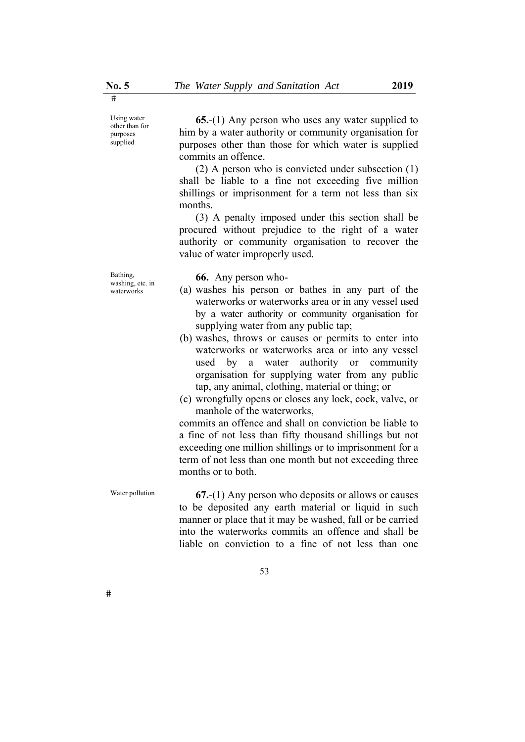Using water other than for purposes supplied

**65.**-(1) Any person who uses any water supplied to him by a water authority or community organisation for purposes other than those for which water is supplied commits an offence.

(2) A person who is convicted under subsection (1) shall be liable to a fine not exceeding five million shillings or imprisonment for a term not less than six months.

(3) A penalty imposed under this section shall be procured without prejudice to the right of a water authority or community organisation to recover the value of water improperly used.

Bathing, washing, etc. in waterworks

**66.** Any person who-

- (a) washes his person or bathes in any part of the waterworks or waterworks area or in any vessel used by a water authority or community organisation for supplying water from any public tap;
- (b) washes, throws or causes or permits to enter into waterworks or waterworks area or into any vessel used by a water authority or community organisation for supplying water from any public tap, any animal, clothing, material or thing; or
- (c) wrongfully opens or closes any lock, cock, valve, or manhole of the waterworks,

commits an offence and shall on conviction be liable to a fine of not less than fifty thousand shillings but not exceeding one million shillings or to imprisonment for a term of not less than one month but not exceeding three months or to both.

Water pollution **67.-**(1) Any person who deposits or allows or causes to be deposited any earth material or liquid in such manner or place that it may be washed, fall or be carried into the waterworks commits an offence and shall be liable on conviction to a fine of not less than one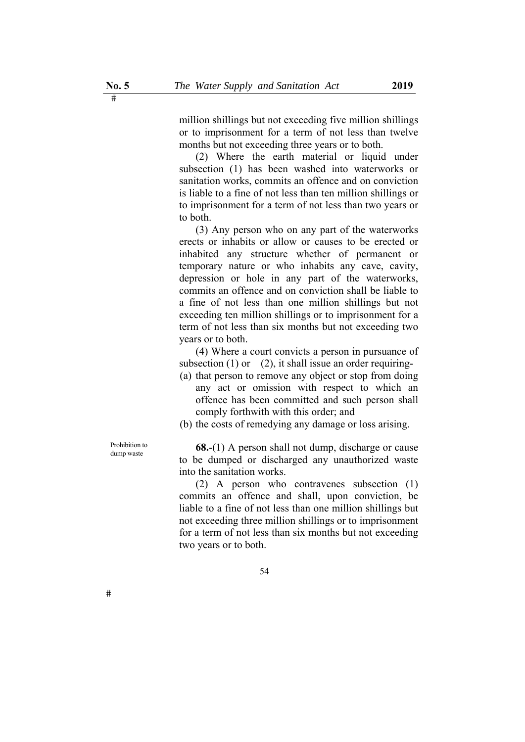million shillings but not exceeding five million shillings or to imprisonment for a term of not less than twelve months but not exceeding three years or to both.

(2) Where the earth material or liquid under subsection (1) has been washed into waterworks or sanitation works, commits an offence and on conviction is liable to a fine of not less than ten million shillings or to imprisonment for a term of not less than two years or to both.

(3) Any person who on any part of the waterworks erects or inhabits or allow or causes to be erected or inhabited any structure whether of permanent or temporary nature or who inhabits any cave, cavity, depression or hole in any part of the waterworks, commits an offence and on conviction shall be liable to a fine of not less than one million shillings but not exceeding ten million shillings or to imprisonment for a term of not less than six months but not exceeding two years or to both.

(4) Where a court convicts a person in pursuance of subsection  $(1)$  or  $(2)$ , it shall issue an order requiring-

- (a) that person to remove any object or stop from doing any act or omission with respect to which an offence has been committed and such person shall comply forthwith with this order; and
- (b) the costs of remedying any damage or loss arising.

Prohibition to

 $#$ 

Prohibition to<br>dump waste **68.**-(1) A person shall not dump, discharge or cause to be dumped or discharged any unauthorized waste into the sanitation works.

> (2) A person who contravenes subsection (1) commits an offence and shall, upon conviction, be liable to a fine of not less than one million shillings but not exceeding three million shillings or to imprisonment for a term of not less than six months but not exceeding two years or to both.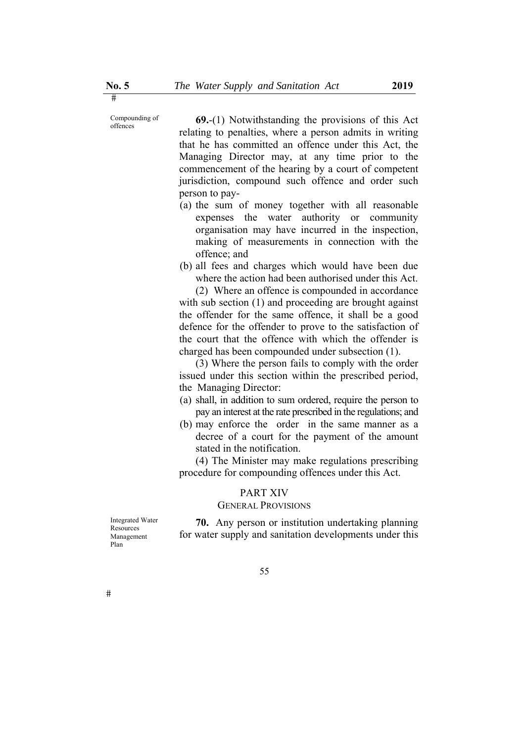Compounding of

 $\begin{array}{ll}\n\text{Comounding of} \\
\text{of the previous section} \\
\text{of this.} \\
\text{Not with standing the provisions of this.}\n\end{array}$ relating to penalties, where a person admits in writing that he has committed an offence under this Act, the Managing Director may, at any time prior to the commencement of the hearing by a court of competent jurisdiction, compound such offence and order such person to pay-

- (a) the sum of money together with all reasonable expenses the water authority or community organisation may have incurred in the inspection, making of measurements in connection with the offence; and
- (b) all fees and charges which would have been due where the action had been authorised under this Act.

(2) Where an offence is compounded in accordance with sub section (1) and proceeding are brought against the offender for the same offence, it shall be a good defence for the offender to prove to the satisfaction of the court that the offence with which the offender is charged has been compounded under subsection (1).

(3) Where the person fails to comply with the order issued under this section within the prescribed period, the Managing Director:

- (a) shall, in addition to sum ordered, require the person to pay an interest at the rate prescribed in the regulations; and
- (b) may enforce the order in the same manner as a decree of a court for the payment of the amount stated in the notification.

(4) The Minister may make regulations prescribing procedure for compounding offences under this Act.

#### PART XIV

# GENERAL PROVISIONS

Integrated Water Resources Management Plan

**70.** Any person or institution undertaking planning for water supply and sanitation developments under this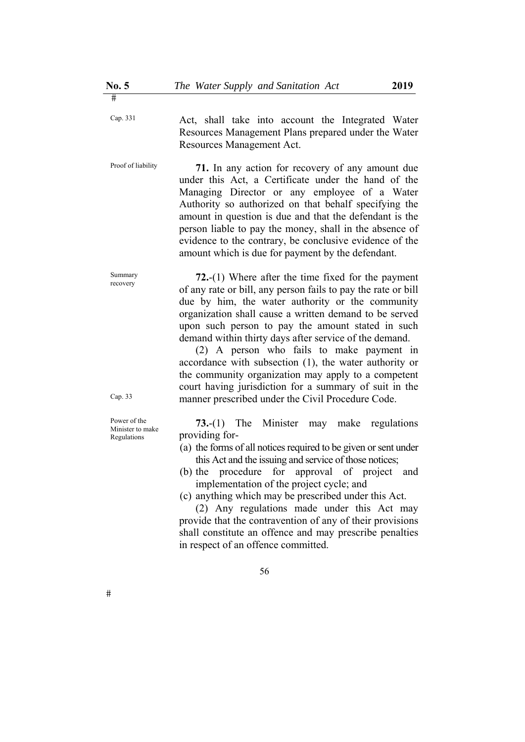Cap. 331 Act, shall take into account the Integrated Water Resources Management Plans prepared under the Water Resources Management Act.

Proof of liability **71.** In any action for recovery of any amount due under this Act, a Certificate under the hand of the Managing Director or any employee of a Water Authority so authorized on that behalf specifying the amount in question is due and that the defendant is the person liable to pay the money, shall in the absence of evidence to the contrary, be conclusive evidence of the amount which is due for payment by the defendant.

> **72.**-(1) Where after the time fixed for the payment of any rate or bill, any person fails to pay the rate or bill due by him, the water authority or the community organization shall cause a written demand to be served upon such person to pay the amount stated in such demand within thirty days after service of the demand.

> (2) A person who fails to make payment in accordance with subsection (1), the water authority or the community organization may apply to a competent court having jurisdiction for a summary of suit in the manner prescribed under the Civil Procedure Code.

> **73.**-(1) The Minister may make regulations providing for-

- (a) the forms of all notices required to be given or sent under this Act and the issuing and service of those notices;
- (b) the procedure for approval of project and implementation of the project cycle; and
- (c) anything which may be prescribed under this Act.

(2) Any regulations made under this Act may provide that the contravention of any of their provisions shall constitute an offence and may prescribe penalties in respect of an offence committed.

 $\overline{\mathbf{H}}$ 

Summary recovery

Cap. 33

Power of the Minister to make Regulations

<sup>56</sup>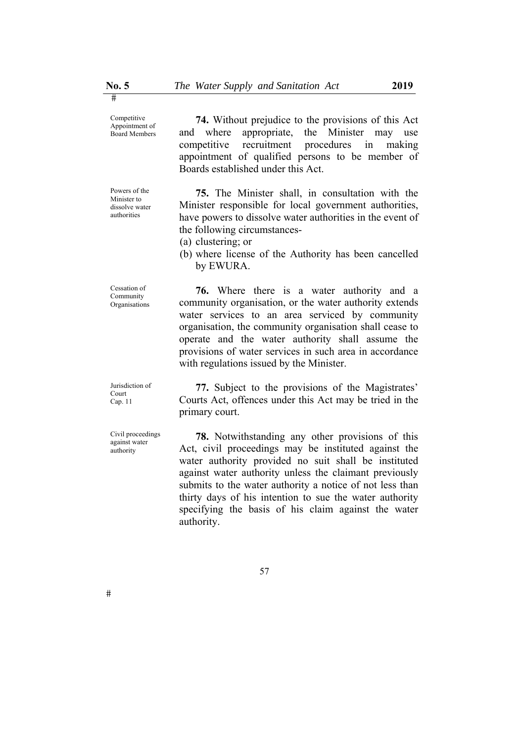Competitive Appointment of Board Members

Powers of the Minister to dissolve water authorities

Cessation of Community Organisations

**74.** Without prejudice to the provisions of this Act and where appropriate, the Minister may use competitive recruitment procedures in making appointment of qualified persons to be member of Boards established under this Act.

**75.** The Minister shall, in consultation with the Minister responsible for local government authorities, have powers to dissolve water authorities in the event of the following circumstances-

- (a) clustering; or
- (b) where license of the Authority has been cancelled by EWURA.

**76.** Where there is a water authority and a community organisation, or the water authority extends water services to an area serviced by community organisation, the community organisation shall cease to operate and the water authority shall assume the provisions of water services in such area in accordance with regulations issued by the Minister.

Jurisdiction of Court Cap. 11

Civil proceedings against water authority

**77.** Subject to the provisions of the Magistrates' Courts Act, offences under this Act may be tried in the primary court.

**78.** Notwithstanding any other provisions of this Act, civil proceedings may be instituted against the water authority provided no suit shall be instituted against water authority unless the claimant previously submits to the water authority a notice of not less than thirty days of his intention to sue the water authority specifying the basis of his claim against the water authority.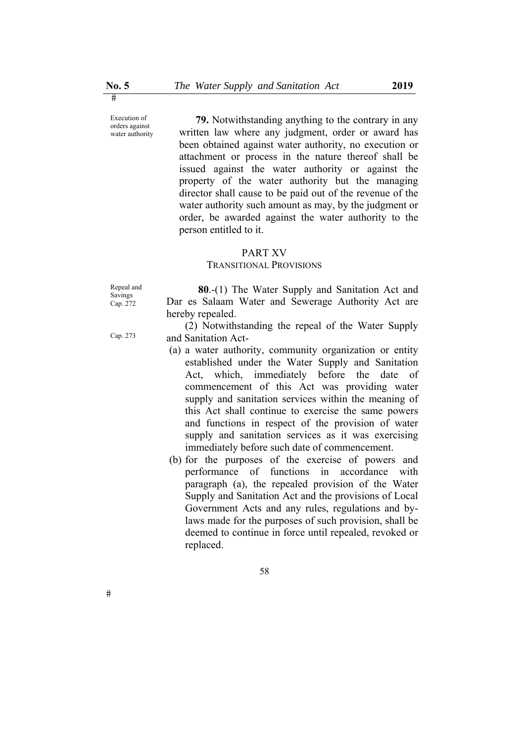Execution of orders against water authority

**79.** Notwithstanding anything to the contrary in any written law where any judgment, order or award has been obtained against water authority, no execution or attachment or process in the nature thereof shall be issued against the water authority or against the property of the water authority but the managing director shall cause to be paid out of the revenue of the water authority such amount as may, by the judgment or order, be awarded against the water authority to the person entitled to it.

#### PART XV

# TRANSITIONAL PROVISIONS

Repeal and Savings Cap. 272

Cap. 273

**80**.-(1) The Water Supply and Sanitation Act and Dar es Salaam Water and Sewerage Authority Act are hereby repealed.

(2) Notwithstanding the repeal of the Water Supply and Sanitation Act-

- (a) a water authority, community organization or entity established under the Water Supply and Sanitation Act, which, immediately before the date of commencement of this Act was providing water supply and sanitation services within the meaning of this Act shall continue to exercise the same powers and functions in respect of the provision of water supply and sanitation services as it was exercising immediately before such date of commencement.
- (b) for the purposes of the exercise of powers and performance of functions in accordance with paragraph (a), the repealed provision of the Water Supply and Sanitation Act and the provisions of Local Government Acts and any rules, regulations and bylaws made for the purposes of such provision, shall be deemed to continue in force until repealed, revoked or replaced.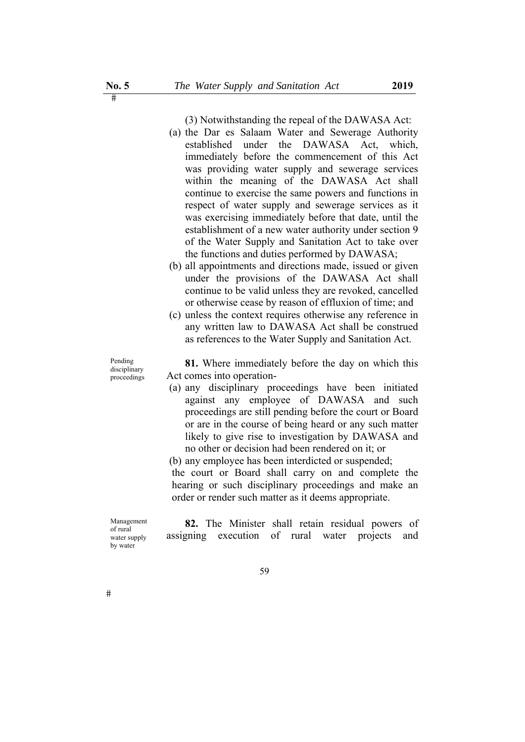(3) Notwithstanding the repeal of the DAWASA Act:

- (a) the Dar es Salaam Water and Sewerage Authority established under the DAWASA Act, which, immediately before the commencement of this Act was providing water supply and sewerage services within the meaning of the DAWASA Act shall continue to exercise the same powers and functions in respect of water supply and sewerage services as it was exercising immediately before that date, until the establishment of a new water authority under section 9 of the Water Supply and Sanitation Act to take over the functions and duties performed by DAWASA;
- (b) all appointments and directions made, issued or given under the provisions of the DAWASA Act shall continue to be valid unless they are revoked, cancelled or otherwise cease by reason of effluxion of time; and
- (c) unless the context requires otherwise any reference in any written law to DAWASA Act shall be construed as references to the Water Supply and Sanitation Act.

Pending disciplinary proceedings

**81.** Where immediately before the day on which this Act comes into operation-

(a) any disciplinary proceedings have been initiated against any employee of DAWASA and such proceedings are still pending before the court or Board or are in the course of being heard or any such matter likely to give rise to investigation by DAWASA and no other or decision had been rendered on it; or

(b) any employee has been interdicted or suspended;

the court or Board shall carry on and complete the hearing or such disciplinary proceedings and make an order or render such matter as it deems appropriate.

Management of rural water supply by water

**82.** The Minister shall retain residual powers of assigning execution of rural water projects and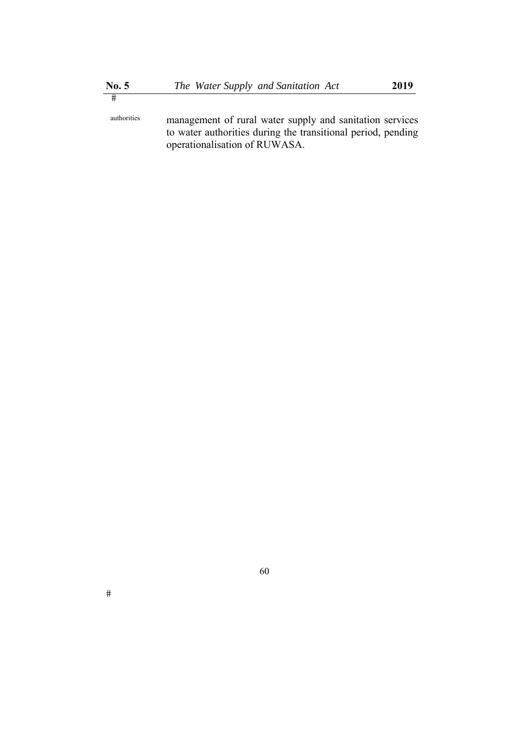authorities management of rural water supply and sanitation services to water authorities during the transitional period, pending operationalisation of RUWASA.

60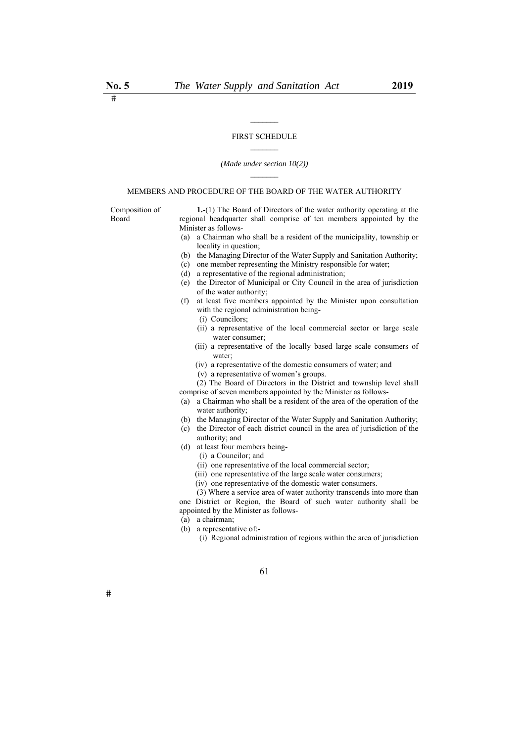#### FIRST SCHEDULE

 $\mathcal{L}_\text{max}$ 

#### *(Made under section 10(2))*

#### MEMBERS AND PROCEDURE OF THE BOARD OF THE WATER AUTHORITY

Composition of Board

**1.**-(1) The Board of Directors of the water authority operating at the regional headquarter shall comprise of ten members appointed by the Minister as follows-

- (a) a Chairman who shall be a resident of the municipality, township or locality in question;
- (b) the Managing Director of the Water Supply and Sanitation Authority;
- (c) one member representing the Ministry responsible for water;
- (d) a representative of the regional administration;
- (e) the Director of Municipal or City Council in the area of jurisdiction of the water authority;
- (f) at least five members appointed by the Minister upon consultation with the regional administration being-
	- (i) Councilors;
	- (ii) a representative of the local commercial sector or large scale water consumer;
	- (iii) a representative of the locally based large scale consumers of water;
	- (iv) a representative of the domestic consumers of water; and
	- (v) a representative of women's groups.

 (2) The Board of Directors in the District and township level shall comprise of seven members appointed by the Minister as follows-

- (a) a Chairman who shall be a resident of the area of the operation of the water authority;
- (b) the Managing Director of the Water Supply and Sanitation Authority;
- (c) the Director of each district council in the area of jurisdiction of the authority; and
- (d) at least four members being-
	- (i) a Councilor; and
	- (ii) one representative of the local commercial sector;
	- (iii) one representative of the large scale water consumers;
	- (iv) one representative of the domestic water consumers.

 (3) Where a service area of water authority transcends into more than one District or Region, the Board of such water authority shall be appointed by the Minister as follows-

- (a) a chairman;
- (b) a representative of:-
	- (i) Regional administration of regions within the area of jurisdiction

61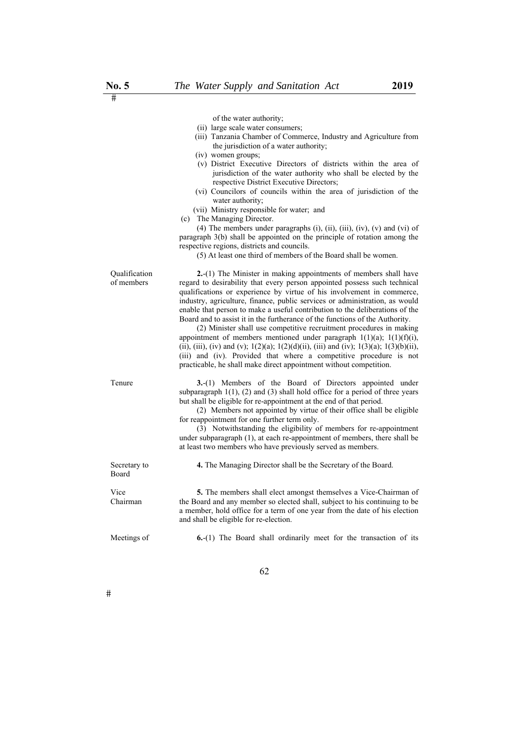|                             | of the water authority;<br>(ii) large scale water consumers;<br>(iii) Tanzania Chamber of Commerce, Industry and Agriculture from<br>the jurisdiction of a water authority;<br>(iv) women groups;<br>(v) District Executive Directors of districts within the area of<br>jurisdiction of the water authority who shall be elected by the<br>respective District Executive Directors;<br>(vi) Councilors of councils within the area of jurisdiction of the<br>water authority;<br>(vii) Ministry responsible for water; and<br>(c) The Managing Director.<br>(4) The members under paragraphs (i), (ii), (iii), (iv), (v) and (vi) of<br>paragraph 3(b) shall be appointed on the principle of rotation among the<br>respective regions, districts and councils.<br>(5) At least one third of members of the Board shall be women.                                 |
|-----------------------------|--------------------------------------------------------------------------------------------------------------------------------------------------------------------------------------------------------------------------------------------------------------------------------------------------------------------------------------------------------------------------------------------------------------------------------------------------------------------------------------------------------------------------------------------------------------------------------------------------------------------------------------------------------------------------------------------------------------------------------------------------------------------------------------------------------------------------------------------------------------------|
| Qualification<br>of members | 2.-(1) The Minister in making appointments of members shall have<br>regard to desirability that every person appointed possess such technical<br>qualifications or experience by virtue of his involvement in commerce,<br>industry, agriculture, finance, public services or administration, as would<br>enable that person to make a useful contribution to the deliberations of the<br>Board and to assist it in the furtherance of the functions of the Authority.<br>(2) Minister shall use competitive recruitment procedures in making<br>appointment of members mentioned under paragraph $1(1)(a)$ ; $1(1)(f)(i)$ ,<br>(ii), (iii), (iv) and (v); 1(2)(a); 1(2)(d)(ii), (iii) and (iv); 1(3)(a); 1(3)(b)(ii),<br>(iii) and (iv). Provided that where a competitive procedure is not<br>practicable, he shall make direct appointment without competition. |
| Tenure                      | 3.-(1) Members of the Board of Directors appointed under<br>subparagraph $1(1)$ , (2) and (3) shall hold office for a period of three years<br>but shall be eligible for re-appointment at the end of that period.<br>(2) Members not appointed by virtue of their office shall be eligible<br>for reappointment for one further term only.<br>(3) Notwithstanding the eligibility of members for re-appointment<br>under subparagraph (1), at each re-appointment of members, there shall be<br>at least two members who have previously served as members.                                                                                                                                                                                                                                                                                                       |
| Secretary to<br>Board       | 4. The Managing Director shall be the Secretary of the Board.                                                                                                                                                                                                                                                                                                                                                                                                                                                                                                                                                                                                                                                                                                                                                                                                      |
| Vice<br>Chairman            | <b>5.</b> The members shall elect amongst themselves a Vice-Chairman of<br>the Board and any member so elected shall, subject to his continuing to be<br>a member, hold office for a term of one year from the date of his election<br>and shall be eligible for re-election.                                                                                                                                                                                                                                                                                                                                                                                                                                                                                                                                                                                      |
| Meetings of                 | $6-(1)$ The Board shall ordinarily meet for the transaction of its                                                                                                                                                                                                                                                                                                                                                                                                                                                                                                                                                                                                                                                                                                                                                                                                 |

62

 $\frac{\text{No. 5}}{\text{#}}$ 

 $\#$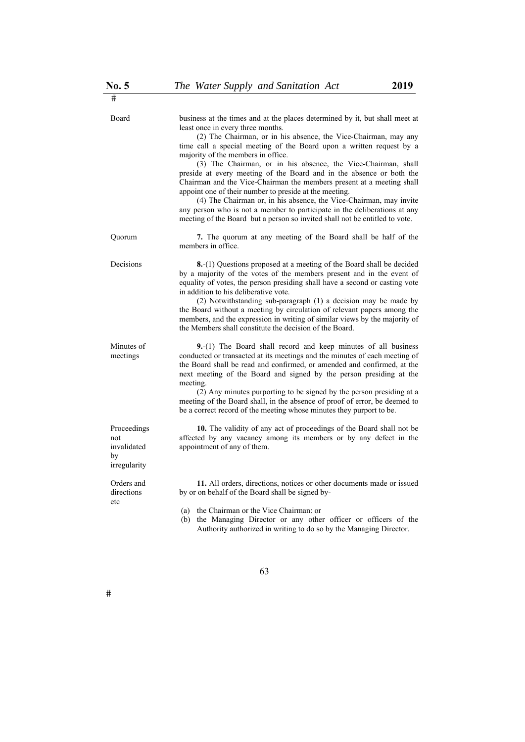| Board                                                   | business at the times and at the places determined by it, but shall meet at<br>least once in every three months.<br>(2) The Chairman, or in his absence, the Vice-Chairman, may any<br>time call a special meeting of the Board upon a written request by a<br>majority of the members in office.<br>(3) The Chairman, or in his absence, the Vice-Chairman, shall<br>preside at every meeting of the Board and in the absence or both the<br>Chairman and the Vice-Chairman the members present at a meeting shall<br>appoint one of their number to preside at the meeting.<br>(4) The Chairman or, in his absence, the Vice-Chairman, may invite<br>any person who is not a member to participate in the deliberations at any<br>meeting of the Board but a person so invited shall not be entitled to vote. |
|---------------------------------------------------------|-----------------------------------------------------------------------------------------------------------------------------------------------------------------------------------------------------------------------------------------------------------------------------------------------------------------------------------------------------------------------------------------------------------------------------------------------------------------------------------------------------------------------------------------------------------------------------------------------------------------------------------------------------------------------------------------------------------------------------------------------------------------------------------------------------------------|
| Quorum                                                  | 7. The quorum at any meeting of the Board shall be half of the<br>members in office.                                                                                                                                                                                                                                                                                                                                                                                                                                                                                                                                                                                                                                                                                                                            |
| Decisions                                               | <b>8.</b> -(1) Questions proposed at a meeting of the Board shall be decided<br>by a majority of the votes of the members present and in the event of<br>equality of votes, the person presiding shall have a second or casting vote<br>in addition to his deliberative vote.<br>(2) Notwithstanding sub-paragraph (1) a decision may be made by<br>the Board without a meeting by circulation of relevant papers among the<br>members, and the expression in writing of similar views by the majority of<br>the Members shall constitute the decision of the Board.                                                                                                                                                                                                                                            |
| Minutes of<br>meetings                                  | 9.-(1) The Board shall record and keep minutes of all business<br>conducted or transacted at its meetings and the minutes of each meeting of<br>the Board shall be read and confirmed, or amended and confirmed, at the<br>next meeting of the Board and signed by the person presiding at the<br>meeting.<br>(2) Any minutes purporting to be signed by the person presiding at a<br>meeting of the Board shall, in the absence of proof of error, be deemed to<br>be a correct record of the meeting whose minutes they purport to be.                                                                                                                                                                                                                                                                        |
| Proceedings<br>not<br>invalidated<br>by<br>irregularity | 10. The validity of any act of proceedings of the Board shall not be<br>affected by any vacancy among its members or by any defect in the<br>appointment of any of them.                                                                                                                                                                                                                                                                                                                                                                                                                                                                                                                                                                                                                                        |
| Orders and<br>directions<br>etc                         | 11. All orders, directions, notices or other documents made or issued<br>by or on behalf of the Board shall be signed by-<br>(a) the Chairman or the Vice Chairman: or                                                                                                                                                                                                                                                                                                                                                                                                                                                                                                                                                                                                                                          |

 (b) the Managing Director or any other officer or officers of the Authority authorized in writing to do so by the Managing Director.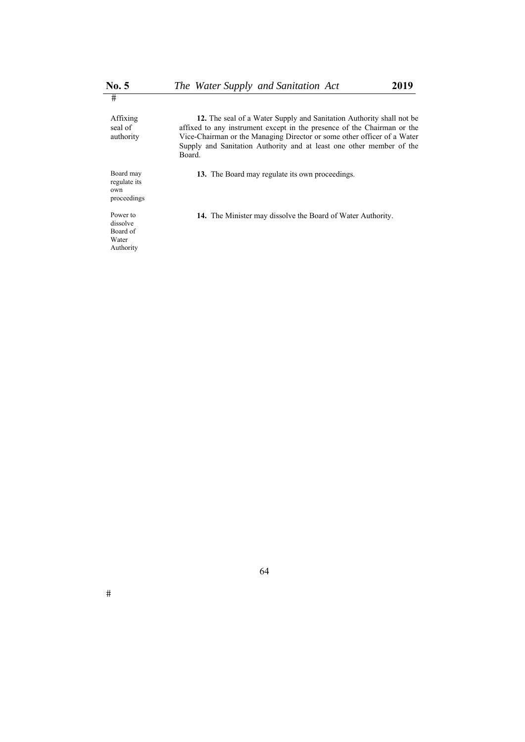**12.** The seal of a Water Supply and Sanitation Authority shall not be affixed to any instrument except in the presence of the Chairman or the Vice-Chairman or the Managing Director or some other officer of a Water Supply and Sanitation Authority and at least one other member of the Board. **13.** The Board may regulate its own proceedings.

**14.** The Minister may dissolve the Board of Water Authority.

Board may regulate its own proceedings Power to

dissolve Board of Water Authority

Affixing seal of authority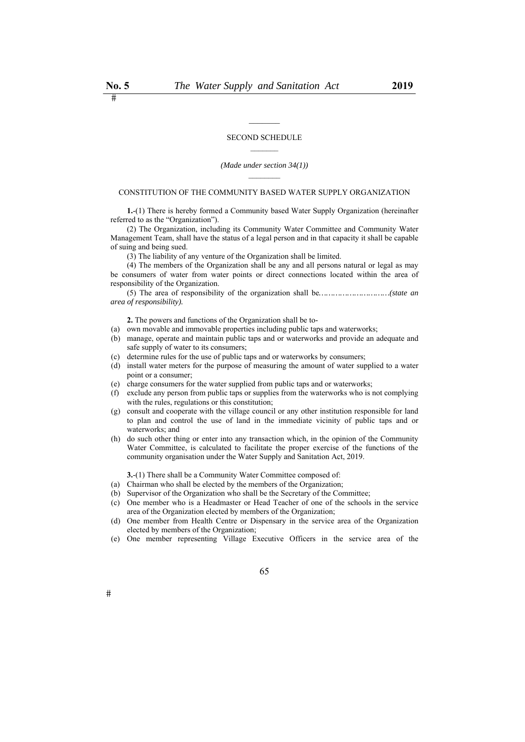#### SECOND SCHEDULE  $\frac{1}{2}$

#### *(Made under section 34(1))*

#### CONSTITUTION OF THE COMMUNITY BASED WATER SUPPLY ORGANIZATION

**1.**-(1) There is hereby formed a Community based Water Supply Organization (hereinafter referred to as the "Organization").

(2) The Organization, including its Community Water Committee and Community Water Management Team, shall have the status of a legal person and in that capacity it shall be capable of suing and being sued.

(3) The liability of any venture of the Organization shall be limited.

(4) The members of the Organization shall be any and all persons natural or legal as may be consumers of water from water points or direct connections located within the area of responsibility of the Organization.

(5) The area of responsibility of the organization shall be*…………………………(state an area of responsibility).*

**2.** The powers and functions of the Organization shall be to-

- (a) own movable and immovable properties including public taps and waterworks;
- (b) manage, operate and maintain public taps and or waterworks and provide an adequate and safe supply of water to its consumers;
- (c) determine rules for the use of public taps and or waterworks by consumers;
- (d) install water meters for the purpose of measuring the amount of water supplied to a water point or a consumer;
- (e) charge consumers for the water supplied from public taps and or waterworks;
- (f) exclude any person from public taps or supplies from the waterworks who is not complying with the rules, regulations or this constitution;
- (g) consult and cooperate with the village council or any other institution responsible for land to plan and control the use of land in the immediate vicinity of public taps and or waterworks; and
- (h) do such other thing or enter into any transaction which, in the opinion of the Community Water Committee, is calculated to facilitate the proper exercise of the functions of the community organisation under the Water Supply and Sanitation Act, 2019.

**3.**-(1) There shall be a Community Water Committee composed of:

- (a) Chairman who shall be elected by the members of the Organization;
- (b) Supervisor of the Organization who shall be the Secretary of the Committee;
- (c) One member who is a Headmaster or Head Teacher of one of the schools in the service area of the Organization elected by members of the Organization;
- (d) One member from Health Centre or Dispensary in the service area of the Organization elected by members of the Organization;
- (e) One member representing Village Executive Officers in the service area of the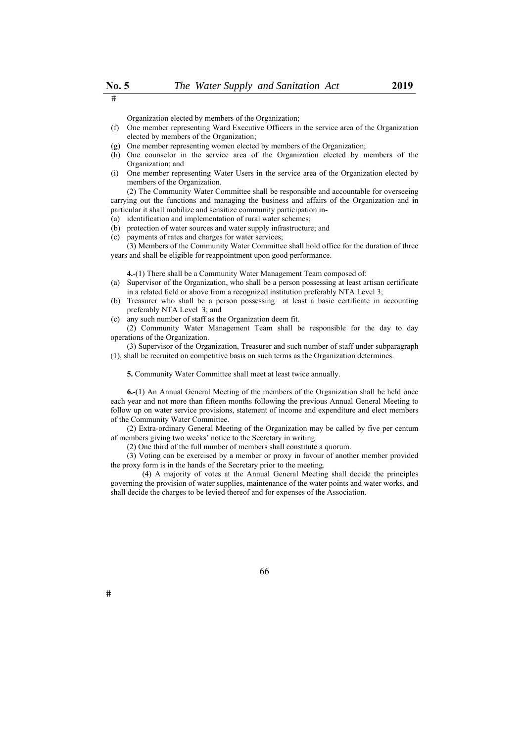Organization elected by members of the Organization;

- (f) One member representing Ward Executive Officers in the service area of the Organization elected by members of the Organization;
- (g) One member representing women elected by members of the Organization;
- (h) One counselor in the service area of the Organization elected by members of the Organization; and
- (i) One member representing Water Users in the service area of the Organization elected by members of the Organization.

(2) The Community Water Committee shall be responsible and accountable for overseeing carrying out the functions and managing the business and affairs of the Organization and in particular it shall mobilize and sensitize community participation in-

- (a) identification and implementation of rural water schemes;
- (b) protection of water sources and water supply infrastructure; and
- (c) payments of rates and charges for water services;

(3) Members of the Community Water Committee shall hold office for the duration of three years and shall be eligible for reappointment upon good performance.

**4.**-(1) There shall be a Community Water Management Team composed of:

- (a) Supervisor of the Organization, who shall be a person possessing at least artisan certificate in a related field or above from a recognized institution preferably NTA Level 3;
- (b) Treasurer who shall be a person possessing at least a basic certificate in accounting preferably NTA Level 3; and
- (c) any such number of staff as the Organization deem fit.

(2) Community Water Management Team shall be responsible for the day to day operations of the Organization.

(3) Supervisor of the Organization, Treasurer and such number of staff under subparagraph (1), shall be recruited on competitive basis on such terms as the Organization determines.

**5.** Community Water Committee shall meet at least twice annually.

**6.**-(1) An Annual General Meeting of the members of the Organization shall be held once each year and not more than fifteen months following the previous Annual General Meeting to follow up on water service provisions, statement of income and expenditure and elect members of the Community Water Committee.

(2) Extra-ordinary General Meeting of the Organization may be called by five per centum of members giving two weeks' notice to the Secretary in writing.

(2) One third of the full number of members shall constitute a quorum.

(3) Voting can be exercised by a member or proxy in favour of another member provided the proxy form is in the hands of the Secretary prior to the meeting.

 (4) A majority of votes at the Annual General Meeting shall decide the principles governing the provision of water supplies, maintenance of the water points and water works, and shall decide the charges to be levied thereof and for expenses of the Association.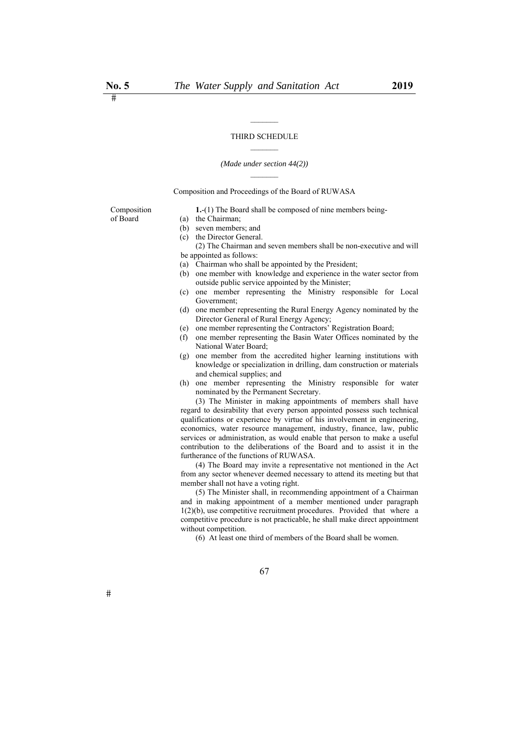#### *(Made under section 44(2))*

Composition and Proceedings of the Board of RUWASA

Composition of Board

- (a) the Chairman;
- (b) seven members; and (c) the Director General.

 (2) The Chairman and seven members shall be non-executive and will be appointed as follows:

**1.**-(1) The Board shall be composed of nine members being-

- (a) Chairman who shall be appointed by the President;
- (b) one member with knowledge and experience in the water sector from outside public service appointed by the Minister;
- (c) one member representing the Ministry responsible for Local Government;
- (d) one member representing the Rural Energy Agency nominated by the Director General of Rural Energy Agency;
- (e) one member representing the Contractors' Registration Board;
- (f) one member representing the Basin Water Offices nominated by the National Water Board;
- (g) one member from the accredited higher learning institutions with knowledge or specialization in drilling, dam construction or materials and chemical supplies; and
- (h) one member representing the Ministry responsible for water nominated by the Permanent Secretary.

 (3) The Minister in making appointments of members shall have regard to desirability that every person appointed possess such technical qualifications or experience by virtue of his involvement in engineering, economics, water resource management, industry, finance, law, public services or administration, as would enable that person to make a useful contribution to the deliberations of the Board and to assist it in the furtherance of the functions of RUWASA.

 (4) The Board may invite a representative not mentioned in the Act from any sector whenever deemed necessary to attend its meeting but that member shall not have a voting right.

 (5) The Minister shall, in recommending appointment of a Chairman and in making appointment of a member mentioned under paragraph  $1(2)(b)$ , use competitive recruitment procedures. Provided that where a competitive procedure is not practicable, he shall make direct appointment without competition.

(6) At least one third of members of the Board shall be women.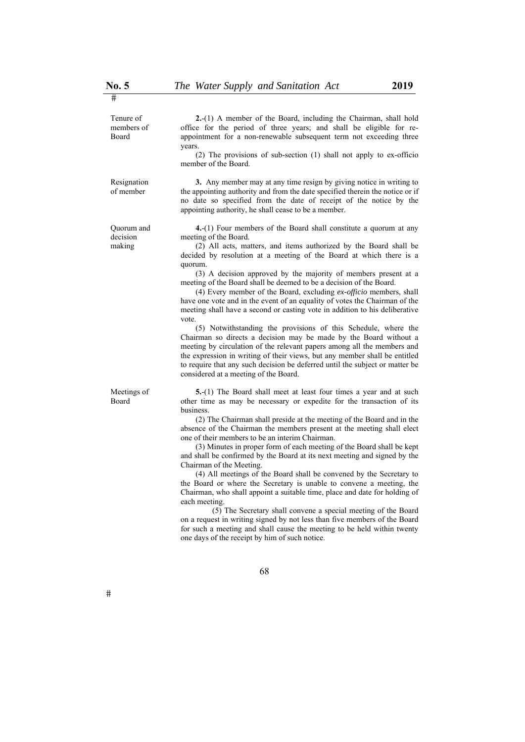Tenure of members of Board

**2.**-(1) A member of the Board, including the Chairman, shall hold office for the period of three years; and shall be eligible for reappointment for a non-renewable subsequent term not exceeding three years.

(2) The provisions of sub-section (1) shall not apply to ex-officio member of the Board.

Resignation of member

Quorum and decision making

Meetings of Board

**3.** Any member may at any time resign by giving notice in writing to the appointing authority and from the date specified therein the notice or if no date so specified from the date of receipt of the notice by the appointing authority, he shall cease to be a member.

**4.**-(1) Four members of the Board shall constitute a quorum at any meeting of the Board.

(2) All acts, matters, and items authorized by the Board shall be decided by resolution at a meeting of the Board at which there is a quorum.

(3) A decision approved by the majority of members present at a meeting of the Board shall be deemed to be a decision of the Board.

(4) Every member of the Board, excluding *ex-officio* members, shall have one vote and in the event of an equality of votes the Chairman of the meeting shall have a second or casting vote in addition to his deliberative vote.

(5) Notwithstanding the provisions of this Schedule, where the Chairman so directs a decision may be made by the Board without a meeting by circulation of the relevant papers among all the members and the expression in writing of their views, but any member shall be entitled to require that any such decision be deferred until the subject or matter be considered at a meeting of the Board.

**5.**-(1) The Board shall meet at least four times a year and at such other time as may be necessary or expedite for the transaction of its business.

(2) The Chairman shall preside at the meeting of the Board and in the absence of the Chairman the members present at the meeting shall elect one of their members to be an interim Chairman.

(3) Minutes in proper form of each meeting of the Board shall be kept and shall be confirmed by the Board at its next meeting and signed by the Chairman of the Meeting.

(4) All meetings of the Board shall be convened by the Secretary to the Board or where the Secretary is unable to convene a meeting, the Chairman, who shall appoint a suitable time, place and date for holding of each meeting.

 (5) The Secretary shall convene a special meeting of the Board on a request in writing signed by not less than five members of the Board for such a meeting and shall cause the meeting to be held within twenty one days of the receipt by him of such notice.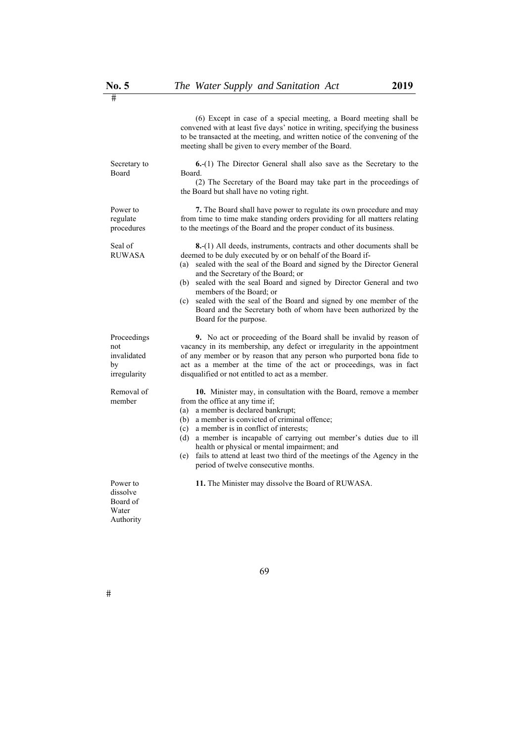(6) Except in case of a special meeting, a Board meeting shall be convened with at least five days' notice in writing, specifying the business to be transacted at the meeting, and written notice of the convening of the meeting shall be given to every member of the Board. Secretary to Board **6.**-(1) The Director General shall also save as the Secretary to the Board. (2) The Secretary of the Board may take part in the proceedings of the Board but shall have no voting right. Power to regulate procedures **7.** The Board shall have power to regulate its own procedure and may from time to time make standing orders providing for all matters relating to the meetings of the Board and the proper conduct of its business. Seal of RUWASA **8.**-(1) All deeds, instruments, contracts and other documents shall be deemed to be duly executed by or on behalf of the Board if- (a) sealed with the seal of the Board and signed by the Director General and the Secretary of the Board; or (b) sealed with the seal Board and signed by Director General and two members of the Board; or (c) sealed with the seal of the Board and signed by one member of the Board and the Secretary both of whom have been authorized by the Board for the purpose. Proceedings not invalidated by irregularity **9.** No act or proceeding of the Board shall be invalid by reason of vacancy in its membership, any defect or irregularity in the appointment of any member or by reason that any person who purported bona fide to act as a member at the time of the act or proceedings, was in fact disqualified or not entitled to act as a member. Removal of member **10.** Minister may, in consultation with the Board, remove a member from the office at any time if; (a) a member is declared bankrupt; (b) a member is convicted of criminal offence; (c) a member is in conflict of interests; (d) a member is incapable of carrying out member's duties due to ill health or physical or mental impairment; and (e) fails to attend at least two third of the meetings of the Agency in the period of twelve consecutive months. Power to **11.** The Minister may dissolve the Board of RUWASA.

dissolve Board of Water Authority

69

 $\overline{\phantom{1}}$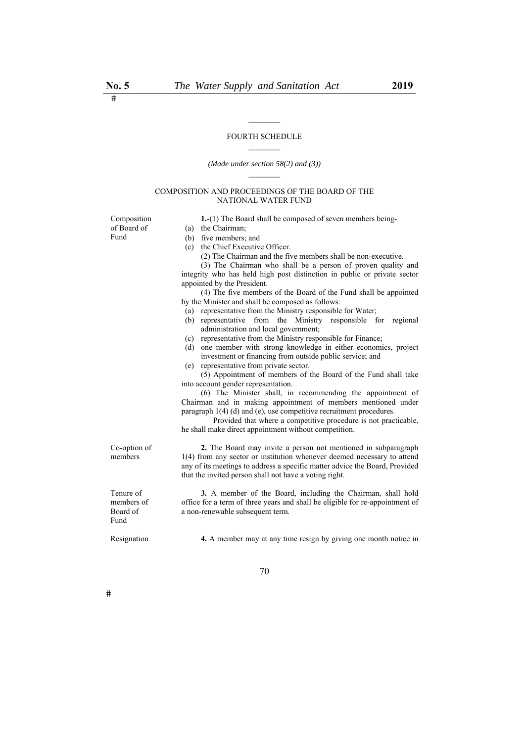# $\mathcal{L}_\text{max}$ FOURTH SCHEDULE

# *(Made under section 58(2) and (3))*

### COMPOSITION AND PROCEEDINGS OF THE BOARD OF THE NATIONAL WATER FUND

Composition of Board of

(a) the Chairman;

| Fund         | (b) five members; and                                                        |
|--------------|------------------------------------------------------------------------------|
|              | (c) the Chief Executive Officer.                                             |
|              | (2) The Chairman and the five members shall be non-executive.                |
|              | (3) The Chairman who shall be a person of proven quality and                 |
|              | integrity who has held high post distinction in public or private sector     |
|              | appointed by the President.                                                  |
|              | (4) The five members of the Board of the Fund shall be appointed             |
|              | by the Minister and shall be composed as follows:                            |
|              | (a) representative from the Ministry responsible for Water;                  |
|              | (b) representative from the Ministry responsible for regional                |
|              | administration and local government;                                         |
|              | (c) representative from the Ministry responsible for Finance;                |
|              | (d) one member with strong knowledge in either economics, project            |
|              | investment or financing from outside public service; and                     |
|              | (e) representative from private sector.                                      |
|              | (5) Appointment of members of the Board of the Fund shall take               |
|              | into account gender representation.                                          |
|              | (6) The Minister shall, in recommending the appointment of                   |
|              | Chairman and in making appointment of members mentioned under                |
|              | paragraph $1(4)$ (d) and (e), use competitive recruitment procedures.        |
|              | Provided that where a competitive procedure is not practicable,              |
|              | he shall make direct appointment without competition.                        |
| Co-option of | 2. The Board may invite a person not mentioned in subparagraph               |
| members      | 1(4) from any sector or institution whenever deemed necessary to attend      |
|              | any of its meetings to address a specific matter advice the Board, Provided  |
|              | that the invited person shall not have a voting right.                       |
| Tenure of    | 3. A member of the Board, including the Chairman, shall hold                 |
| members of   | office for a term of three years and shall be eligible for re-appointment of |
| Board of     | a non-renewable subsequent term.                                             |
| Fund         |                                                                              |
| Resignation  | 4. A member may at any time resign by giving one month notice in             |

 $\#$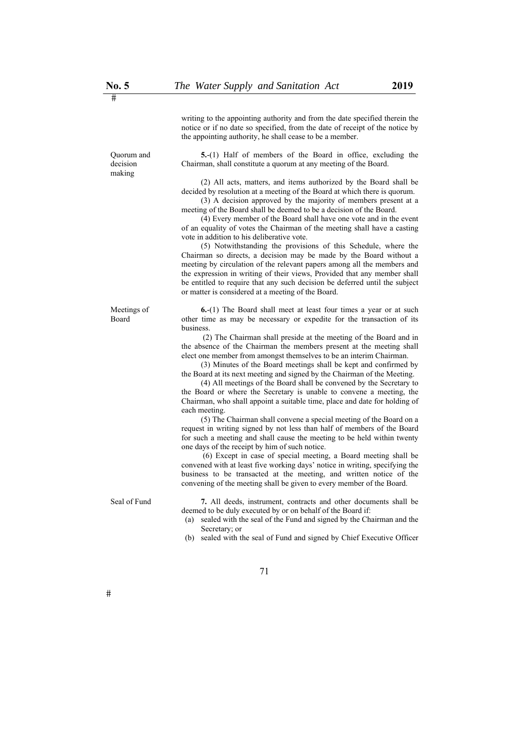writing to the appointing authority and from the date specified therein the notice or if no date so specified, from the date of receipt of the notice by the appointing authority, he shall cease to be a member.

**5.**-(1) Half of members of the Board in office, excluding the Chairman, shall constitute a quorum at any meeting of the Board.

 (2) All acts, matters, and items authorized by the Board shall be decided by resolution at a meeting of the Board at which there is quorum.

 (3) A decision approved by the majority of members present at a meeting of the Board shall be deemed to be a decision of the Board.

 (4) Every member of the Board shall have one vote and in the event of an equality of votes the Chairman of the meeting shall have a casting vote in addition to his deliberative vote.

 (5) Notwithstanding the provisions of this Schedule, where the Chairman so directs, a decision may be made by the Board without a meeting by circulation of the relevant papers among all the members and the expression in writing of their views, Provided that any member shall be entitled to require that any such decision be deferred until the subject or matter is considered at a meeting of the Board.

**6.**-(1) The Board shall meet at least four times a year or at such other time as may be necessary or expedite for the transaction of its business.

 (2) The Chairman shall preside at the meeting of the Board and in the absence of the Chairman the members present at the meeting shall elect one member from amongst themselves to be an interim Chairman.

 (3) Minutes of the Board meetings shall be kept and confirmed by the Board at its next meeting and signed by the Chairman of the Meeting.

 (4) All meetings of the Board shall be convened by the Secretary to the Board or where the Secretary is unable to convene a meeting, the Chairman, who shall appoint a suitable time, place and date for holding of each meeting.

 (5) The Chairman shall convene a special meeting of the Board on a request in writing signed by not less than half of members of the Board for such a meeting and shall cause the meeting to be held within twenty one days of the receipt by him of such notice.

 (6) Except in case of special meeting, a Board meeting shall be convened with at least five working days' notice in writing, specifying the business to be transacted at the meeting, and written notice of the convening of the meeting shall be given to every member of the Board.

Seal of Fund **7.** All deeds, instrument, contracts and other documents shall be deemed to be duly executed by or on behalf of the Board if:

- (a) sealed with the seal of the Fund and signed by the Chairman and the Secretary; or
- (b) sealed with the seal of Fund and signed by Chief Executive Officer

71

Quorum and decision making

Meetings of Board